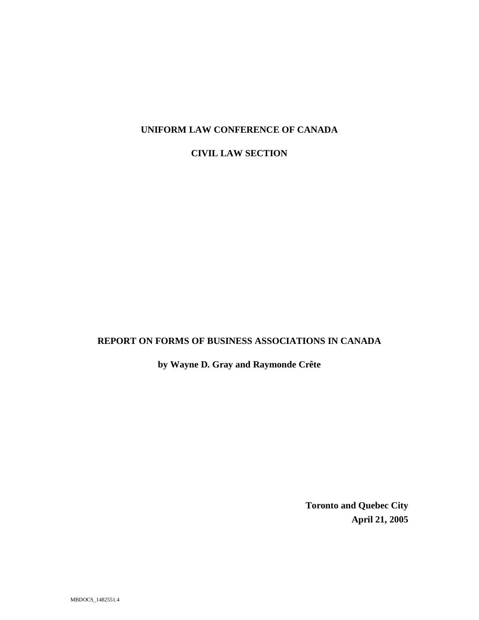# **CIVIL LAW SECTION**

# **REPORT ON FORMS OF BUSINESS ASSOCIATIONS IN CANADA**

# **by Wayne D. Gray and Raymonde Crête**

**Toronto and Quebec City April 21, 2005**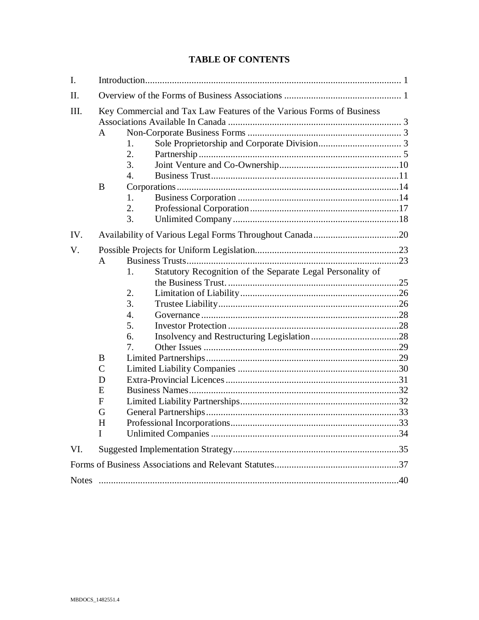# **TABLE OF CONTENTS**

| I.   |              |                                        |                                                                      |  |  |  |
|------|--------------|----------------------------------------|----------------------------------------------------------------------|--|--|--|
| II.  |              |                                        |                                                                      |  |  |  |
| III. | A<br>B       | 1.<br>2.<br>3.<br>4.<br>1.<br>2.<br>3. | Key Commercial and Tax Law Features of the Various Forms of Business |  |  |  |
| IV.  |              |                                        |                                                                      |  |  |  |
|      |              |                                        |                                                                      |  |  |  |
| V.   |              |                                        |                                                                      |  |  |  |
|      | $\mathsf{A}$ |                                        |                                                                      |  |  |  |
|      |              | 1.                                     | Statutory Recognition of the Separate Legal Personality of           |  |  |  |
|      |              |                                        |                                                                      |  |  |  |
|      |              | 2.                                     |                                                                      |  |  |  |
|      |              | 3.                                     |                                                                      |  |  |  |
|      |              | 4.<br>5.                               |                                                                      |  |  |  |
|      |              | 6.                                     |                                                                      |  |  |  |
|      |              | 7.                                     |                                                                      |  |  |  |
|      | B            |                                        |                                                                      |  |  |  |
|      | $\mathsf{C}$ |                                        |                                                                      |  |  |  |
|      | D            |                                        |                                                                      |  |  |  |
|      | E            |                                        |                                                                      |  |  |  |
|      | F            |                                        |                                                                      |  |  |  |
|      | G            |                                        |                                                                      |  |  |  |
|      | H            |                                        |                                                                      |  |  |  |
|      | I            |                                        |                                                                      |  |  |  |
| VI.  |              |                                        |                                                                      |  |  |  |
|      |              |                                        |                                                                      |  |  |  |
|      |              |                                        |                                                                      |  |  |  |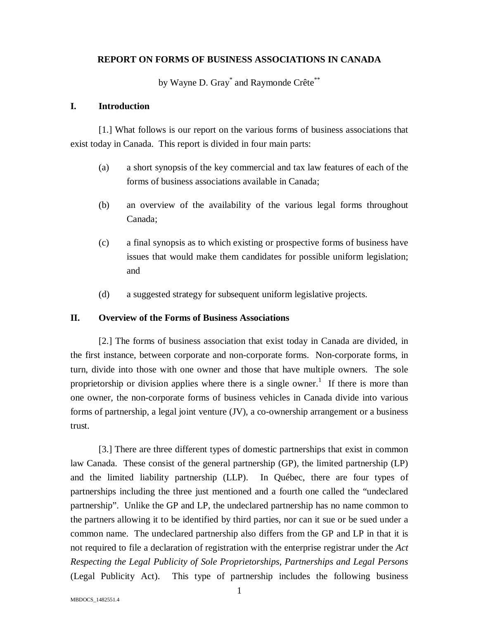by Wayne D. Gray<sup>\*</sup> and Raymonde Crête<sup>\*\*</sup>

### **I. Introduction**

[1.] What follows is our report on the various forms of business associations that exist today in Canada. This report is divided in four main parts:

- (a) a short synopsis of the key commercial and tax law features of each of the forms of business associations available in Canada;
- (b) an overview of the availability of the various legal forms throughout Canada;
- (c) a final synopsis as to which existing or prospective forms of business have issues that would make them candidates for possible uniform legislation; and
- (d) a suggested strategy for subsequent uniform legislative projects.

#### **II. Overview of the Forms of Business Associations**

[2.] The forms of business association that exist today in Canada are divided, in the first instance, between corporate and non-corporate forms. Non-corporate forms, in turn, divide into those with one owner and those that have multiple owners. The sole proprietorship or division applies where there is a single owner.<sup>1</sup> If there is more than one owner, the non-corporate forms of business vehicles in Canada divide into various forms of partnership, a legal joint venture (JV), a co-ownership arrangement or a business trust.

[3.] There are three different types of domestic partnerships that exist in common law Canada. These consist of the general partnership (GP), the limited partnership (LP) and the limited liability partnership (LLP). In Québec, there are four types of partnerships including the three just mentioned and a fourth one called the "undeclared partnership". Unlike the GP and LP, the undeclared partnership has no name common to the partners allowing it to be identified by third parties, nor can it sue or be sued under a common name. The undeclared partnership also differs from the GP and LP in that it is not required to file a declaration of registration with the enterprise registrar under the *Act Respecting the Legal Publicity of Sole Proprietorships, Partnerships and Legal Persons* (Legal Publicity Act). This type of partnership includes the following business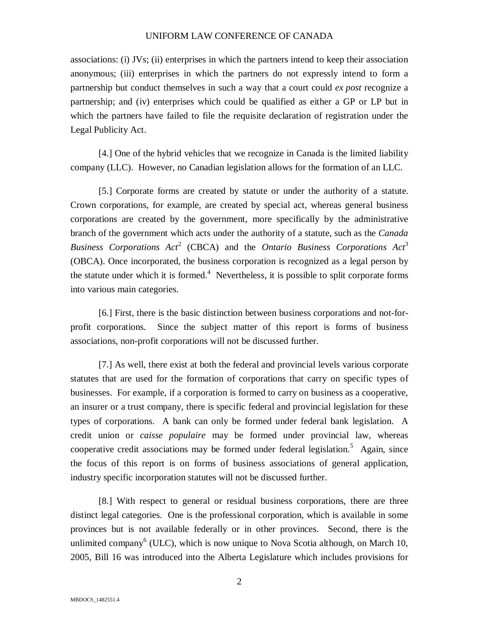associations: (i) JVs; (ii) enterprises in which the partners intend to keep their association anonymous; (iii) enterprises in which the partners do not expressly intend to form a partnership but conduct themselves in such a way that a court could *ex post* recognize a partnership; and (iv) enterprises which could be qualified as either a GP or LP but in which the partners have failed to file the requisite declaration of registration under the Legal Publicity Act.

[4.] One of the hybrid vehicles that we recognize in Canada is the limited liability company (LLC). However, no Canadian legislation allows for the formation of an LLC.

[5.] Corporate forms are created by statute or under the authority of a statute. Crown corporations, for example, are created by special act, whereas general business corporations are created by the government, more specifically by the administrative branch of the government which acts under the authority of a statute, such as the *Canada Business Corporations Act* 2 (CBCA) and the *Ontario Business Corporations Act* 3 (OBCA). Once incorporated, the business corporation is recognized as a legal person by the statute under which it is formed.<sup>4</sup> Nevertheless, it is possible to split corporate forms into various main categories.

[6.] First, there is the basic distinction between business corporations and not-forprofit corporations. Since the subject matter of this report is forms of business associations, non-profit corporations will not be discussed further.

[7.] As well, there exist at both the federal and provincial levels various corporate statutes that are used for the formation of corporations that carry on specific types of businesses. For example, if a corporation is formed to carry on business as a cooperative, an insurer or a trust company, there is specific federal and provincial legislation for these types of corporations. A bank can only be formed under federal bank legislation. A credit union or *caisse populaire* may be formed under provincial law, whereas cooperative credit associations may be formed under federal legislation.<sup>5</sup> Again, since the focus of this report is on forms of business associations of general application, industry specific incorporation statutes will not be discussed further.

[8.] With respect to general or residual business corporations, there are three distinct legal categories. One is the professional corporation, which is available in some provinces but is not available federally or in other provinces. Second, there is the unlimited company<sup>6</sup> (ULC), which is now unique to Nova Scotia although, on March 10, 2005, Bill 16 was introduced into the Alberta Legislature which includes provisions for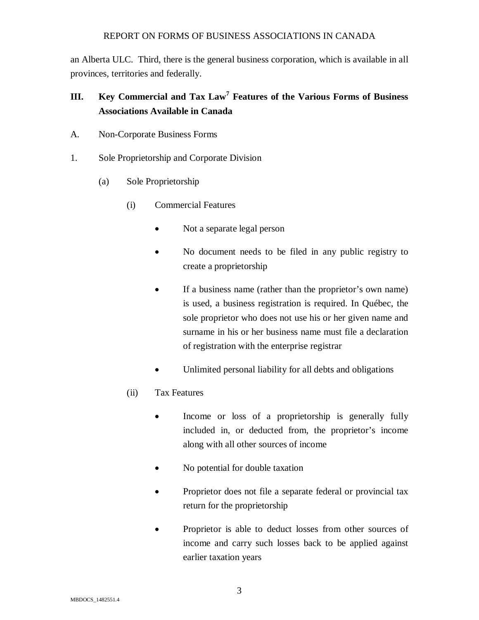an Alberta ULC. Third, there is the general business corporation, which is available in all provinces, territories and federally.

# **III. Key Commercial and Tax Law 7 Features of the Various Forms of Business Associations Available in Canada**

- A. Non-Corporate Business Forms
- 1. Sole Proprietorship and Corporate Division
	- (a) Sole Proprietorship
		- (i) Commercial Features
			- Not a separate legal person
			- No document needs to be filed in any public registry to create a proprietorship
			- If a business name (rather than the proprietor's own name) is used, a business registration is required. In Québec, the sole proprietor who does not use his or her given name and surname in his or her business name must file a declaration of registration with the enterprise registrar
			- Unlimited personal liability for all debts and obligations
		- (ii) Tax Features
			- Income or loss of a proprietorship is generally fully included in, or deducted from, the proprietor's income along with all other sources of income
			- No potential for double taxation
			- Proprietor does not file a separate federal or provincial tax return for the proprietorship
			- Proprietor is able to deduct losses from other sources of income and carry such losses back to be applied against earlier taxation years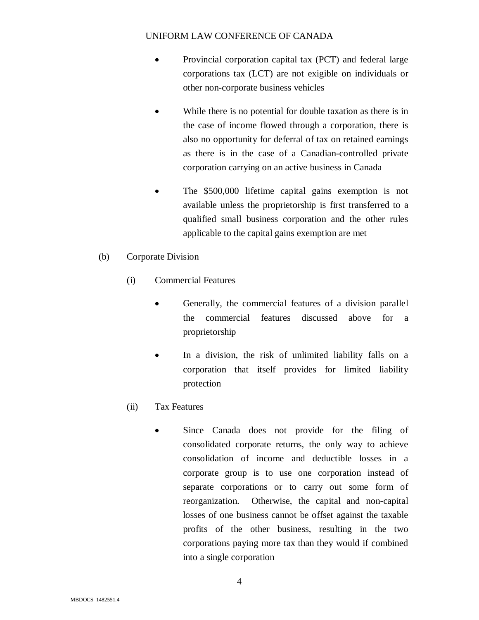- Provincial corporation capital tax (PCT) and federal large corporations tax (LCT) are not exigible on individuals or other non-corporate business vehicles
- While there is no potential for double taxation as there is in the case of income flowed through a corporation, there is also no opportunity for deferral of tax on retained earnings as there is in the case of a Canadian-controlled private corporation carrying on an active business in Canada
- The \$500,000 lifetime capital gains exemption is not available unless the proprietorship is first transferred to a qualified small business corporation and the other rules applicable to the capital gains exemption are met
- (b) Corporate Division
	- (i) Commercial Features
		- Generally, the commercial features of a division parallel the commercial features discussed above for a proprietorship
		- In a division, the risk of unlimited liability falls on a corporation that itself provides for limited liability protection
	- (ii) Tax Features
		- Since Canada does not provide for the filing of consolidated corporate returns, the only way to achieve consolidation of income and deductible losses in a corporate group is to use one corporation instead of separate corporations or to carry out some form of reorganization. Otherwise, the capital and non-capital losses of one business cannot be offset against the taxable profits of the other business, resulting in the two corporations paying more tax than they would if combined into a single corporation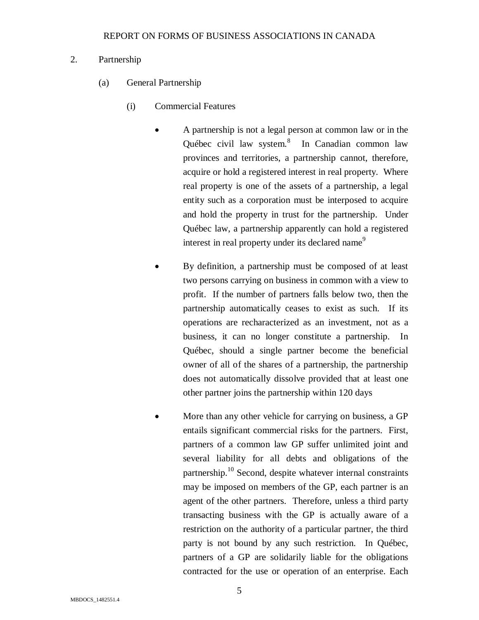## 2. Partnership

- (a) General Partnership
	- (i) Commercial Features
		- A partnership is not a legal person at common law or in the Québec civil law system.<sup>8</sup> In Canadian common law provinces and territories, a partnership cannot, therefore, acquire or hold a registered interest in real property. Where real property is one of the assets of a partnership, a legal entity such as a corporation must be interposed to acquire and hold the property in trust for the partnership. Under Québec law, a partnership apparently can hold a registered interest in real property under its declared name<sup>9</sup>
			- By definition, a partnership must be composed of at least two persons carrying on business in common with a view to profit. If the number of partners falls below two, then the partnership automatically ceases to exist as such. If its operations are recharacterized as an investment, not as a business, it can no longer constitute a partnership. In Québec, should a single partner become the beneficial owner of all of the shares of a partnership, the partnership does not automatically dissolve provided that at least one other partner joins the partnership within 120 days
		- More than any other vehicle for carrying on business, a GP entails significant commercial risks for the partners. First, partners of a common law GP suffer unlimited joint and several liability for all debts and obligations of the partnership.<sup>10</sup> Second, despite whatever internal constraints may be imposed on members of the GP, each partner is an agent of the other partners. Therefore, unless a third party transacting business with the GP is actually aware of a restriction on the authority of a particular partner, the third party is not bound by any such restriction. In Québec, partners of a GP are solidarily liable for the obligations contracted for the use or operation of an enterprise. Each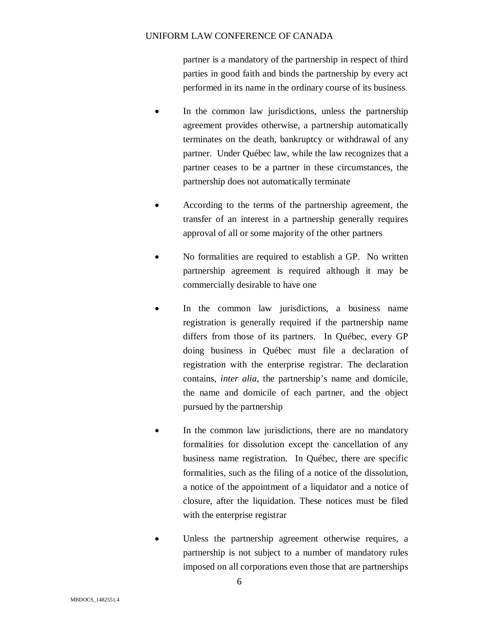partner is a mandatory of the partnership in respect of third parties in good faith and binds the partnership by every act performed in its name in the ordinary course of its business

- In the common law jurisdictions, unless the partnership agreement provides otherwise, a partnership automatically terminates on the death, bankruptcy or withdrawal of any partner. Under Québec law, while the law recognizes that a partner ceases to be a partner in these circumstances, the partnership does not automatically terminate
- According to the terms of the partnership agreement, the transfer of an interest in a partnership generally requires approval of all or some majority of the other partners
- No formalities are required to establish a GP. No written partnership agreement is required although it may be commercially desirable to have one
- In the common law jurisdictions, a business name registration is generally required if the partnership name differs from those of its partners. In Québec, every GP doing business in Québec must file a declaration of registration with the enterprise registrar. The declaration contains, *inter alia*, the partnership's name and domicile, the name and domicile of each partner, and the object pursued by the partnership
- In the common law jurisdictions, there are no mandatory formalities for dissolution except the cancellation of any business name registration. In Québec, there are specific formalities, such as the filing of a notice of the dissolution, a notice of the appointment of a liquidator and a notice of closure, after the liquidation. These notices must be filed with the enterprise registrar
- Unless the partnership agreement otherwise requires, a partnership is not subject to a number of mandatory rules imposed on all corporations even those that are partnerships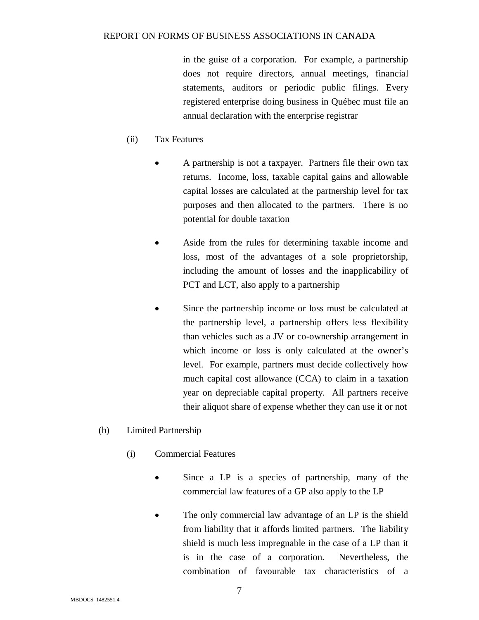in the guise of a corporation. For example, a partnership does not require directors, annual meetings, financial statements, auditors or periodic public filings. Every registered enterprise doing business in Québec must file an annual declaration with the enterprise registrar

### (ii) Tax Features

- A partnership is not a taxpayer. Partners file their own tax returns. Income, loss, taxable capital gains and allowable capital losses are calculated at the partnership level for tax purposes and then allocated to the partners. There is no potential for double taxation
- Aside from the rules for determining taxable income and loss, most of the advantages of a sole proprietorship, including the amount of losses and the inapplicability of PCT and LCT, also apply to a partnership
- Since the partnership income or loss must be calculated at the partnership level, a partnership offers less flexibility than vehicles such as a JV or co-ownership arrangement in which income or loss is only calculated at the owner's level. For example, partners must decide collectively how much capital cost allowance (CCA) to claim in a taxation year on depreciable capital property. All partners receive their aliquot share of expense whether they can use it or not

### (b) Limited Partnership

- (i) Commercial Features
	- Since a LP is a species of partnership, many of the commercial law features of a GP also apply to the LP
	- The only commercial law advantage of an LP is the shield from liability that it affords limited partners. The liability shield is much less impregnable in the case of a LP than it is in the case of a corporation. Nevertheless, the combination of favourable tax characteristics of a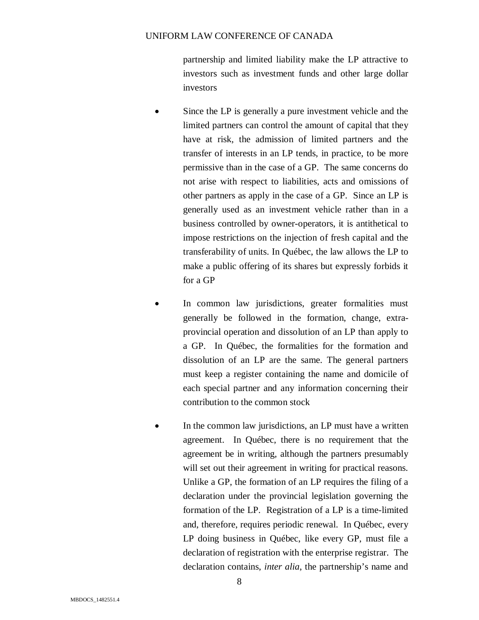partnership and limited liability make the LP attractive to investors such as investment funds and other large dollar investors

- Since the LP is generally a pure investment vehicle and the limited partners can control the amount of capital that they have at risk, the admission of limited partners and the transfer of interests in an LP tends, in practice, to be more permissive than in the case of a GP. The same concerns do not arise with respect to liabilities, acts and omissions of other partners as apply in the case of a GP. Since an LP is generally used as an investment vehicle rather than in a business controlled by owner-operators, it is antithetical to impose restrictions on the injection of fresh capital and the transferability of units. In Québec, the law allows the LP to make a public offering of its shares but expressly forbids it for a GP
- In common law jurisdictions, greater formalities must generally be followed in the formation, change, extraprovincial operation and dissolution of an LP than apply to a GP. In Québec, the formalities for the formation and dissolution of an LP are the same. The general partners must keep a register containing the name and domicile of each special partner and any information concerning their contribution to the common stock
- In the common law jurisdictions, an LP must have a written agreement. In Québec, there is no requirement that the agreement be in writing, although the partners presumably will set out their agreement in writing for practical reasons. Unlike a GP, the formation of an LP requires the filing of a declaration under the provincial legislation governing the formation of the LP. Registration of a LP is a time-limited and, therefore, requires periodic renewal. In Québec, every LP doing business in Québec, like every GP, must file a declaration of registration with the enterprise registrar. The declaration contains, *inter alia*, the partnership's name and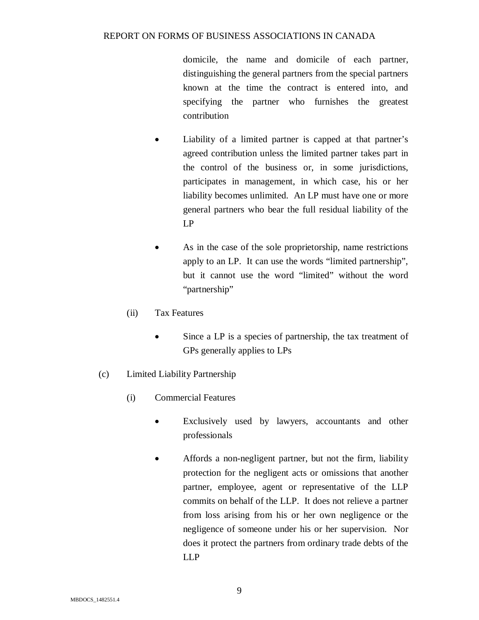domicile, the name and domicile of each partner, distinguishing the general partners from the special partners known at the time the contract is entered into, and specifying the partner who furnishes the greatest contribution

- Liability of a limited partner is capped at that partner's agreed contribution unless the limited partner takes part in the control of the business or, in some jurisdictions, participates in management, in which case, his or her liability becomes unlimited. An LP must have one or more general partners who bear the full residual liability of the LP
- As in the case of the sole proprietorship, name restrictions apply to an LP. It can use the words "limited partnership", but it cannot use the word "limited" without the word "partnership"
- (ii) Tax Features
	- Since a LP is a species of partnership, the tax treatment of GPs generally applies to LPs
- (c) Limited Liability Partnership
	- (i) Commercial Features
		- Exclusively used by lawyers, accountants and other professionals
		- Affords a non-negligent partner, but not the firm, liability protection for the negligent acts or omissions that another partner, employee, agent or representative of the LLP commits on behalf of the LLP. It does not relieve a partner from loss arising from his or her own negligence or the negligence of someone under his or her supervision. Nor does it protect the partners from ordinary trade debts of the LLP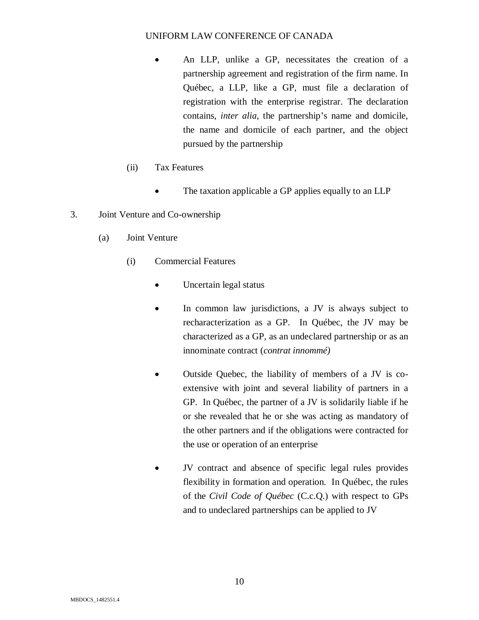- An LLP, unlike a GP, necessitates the creation of a partnership agreement and registration of the firm name. In Québec, a LLP, like a GP, must file a declaration of registration with the enterprise registrar. The declaration contains, *inter alia*, the partnership's name and domicile, the name and domicile of each partner, and the object pursued by the partnership
- (ii) Tax Features
	- The taxation applicable a GP applies equally to an LLP
- 3. Joint Venture and Co-ownership
	- (a) Joint Venture
		- (i) Commercial Features
			- Uncertain legal status
			- In common law jurisdictions, a JV is always subject to recharacterization as a GP. In Québec, the JV may be characterized as a GP, as an undeclared partnership or as an innominate contract (*contrat innommé)*
			- Outside Quebec, the liability of members of a JV is coextensive with joint and several liability of partners in a GP. In Québec, the partner of a JV is solidarily liable if he or she revealed that he or she was acting as mandatory of the other partners and if the obligations were contracted for the use or operation of an enterprise
			- JV contract and absence of specific legal rules provides flexibility in formation and operation. In Québec, the rules of the *Civil Code of Québec* (C.c.Q.) with respect to GPs and to undeclared partnerships can be applied to JV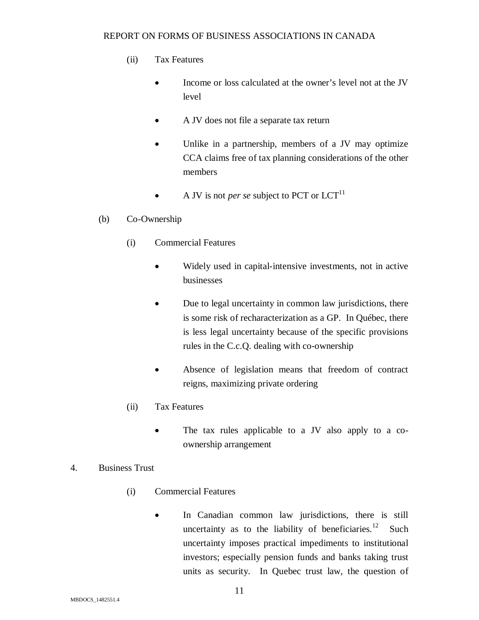- (ii) Tax Features
	- Income or loss calculated at the owner's level not at the JV level
	- A JV does not file a separate tax return
	- Unlike in a partnership, members of a JV may optimize CCA claims free of tax planning considerations of the other members
	- A JV is not *per se* subject to PCT or  $LCT<sup>11</sup>$

# (b) Co-Ownership

- (i) Commercial Features
	- Widely used in capital-intensive investments, not in active businesses
	- Due to legal uncertainty in common law jurisdictions, there is some risk of recharacterization as a GP. In Québec, there is less legal uncertainty because of the specific provisions rules in the C.c.Q. dealing with co-ownership
	- Absence of legislation means that freedom of contract reigns, maximizing private ordering
- (ii) Tax Features
	- The tax rules applicable to a JV also apply to a coownership arrangement
- 4. Business Trust
	- (i) Commercial Features
		- In Canadian common law jurisdictions, there is still uncertainty as to the liability of beneficiaries.<sup>12</sup> Such uncertainty imposes practical impediments to institutional investors; especially pension funds and banks taking trust units as security. In Quebec trust law, the question of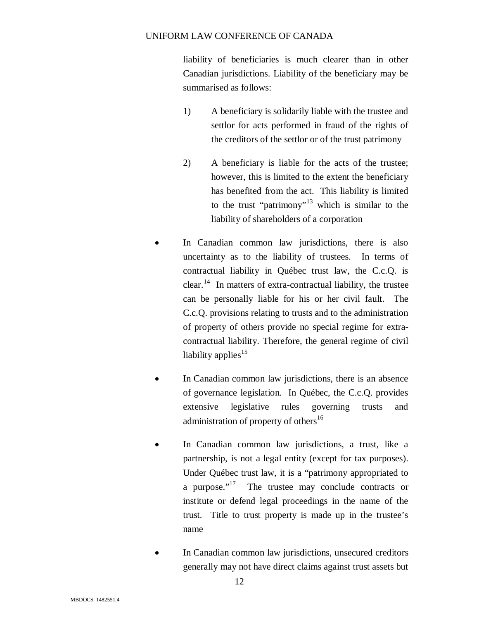liability of beneficiaries is much clearer than in other Canadian jurisdictions. Liability of the beneficiary may be summarised as follows:

- 1) A beneficiary is solidarily liable with the trustee and settlor for acts performed in fraud of the rights of the creditors of the settlor or of the trust patrimony
- 2) A beneficiary is liable for the acts of the trustee; however, this is limited to the extent the beneficiary has benefited from the act. This liability is limited to the trust "patrimony"<sup>13</sup> which is similar to the liability of shareholders of a corporation
- In Canadian common law jurisdictions, there is also uncertainty as to the liability of trustees. In terms of contractual liability in Québec trust law, the C.c.Q. is clear.<sup>14</sup> In matters of extra-contractual liability, the trustee can be personally liable for his or her civil fault. The C.c.Q. provisions relating to trusts and to the administration of property of others provide no special regime for extracontractual liability. Therefore, the general regime of civil liability applies<sup>15</sup>
- In Canadian common law jurisdictions, there is an absence of governance legislation. In Québec, the C.c.Q. provides extensive legislative rules governing trusts and administration of property of others<sup>16</sup>
- In Canadian common law jurisdictions, a trust, like a partnership, is not a legal entity (except for tax purposes). Under Québec trust law, it is a "patrimony appropriated to a purpose."<sup>17</sup> The trustee may conclude contracts or institute or defend legal proceedings in the name of the trust. Title to trust property is made up in the trustee's name
- In Canadian common law jurisdictions, unsecured creditors generally may not have direct claims against trust assets but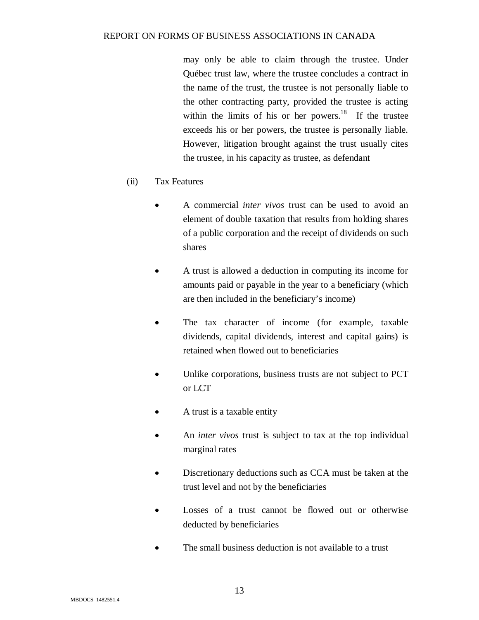may only be able to claim through the trustee. Under Québec trust law, where the trustee concludes a contract in the name of the trust, the trustee is not personally liable to the other contracting party, provided the trustee is acting within the limits of his or her powers. $18$  If the trustee exceeds his or her powers, the trustee is personally liable. However, litigation brought against the trust usually cites the trustee, in his capacity as trustee, as defendant

### (ii) Tax Features

- A commercial *inter vivos* trust can be used to avoid an element of double taxation that results from holding shares of a public corporation and the receipt of dividends on such shares
- A trust is allowed a deduction in computing its income for amounts paid or payable in the year to a beneficiary (which are then included in the beneficiary's income)
- The tax character of income (for example, taxable dividends, capital dividends, interest and capital gains) is retained when flowed out to beneficiaries
- Unlike corporations, business trusts are not subject to PCT or LCT
- A trust is a taxable entity
- An *inter vivos* trust is subject to tax at the top individual marginal rates
- Discretionary deductions such as CCA must be taken at the trust level and not by the beneficiaries
- Losses of a trust cannot be flowed out or otherwise deducted by beneficiaries
- The small business deduction is not available to a trust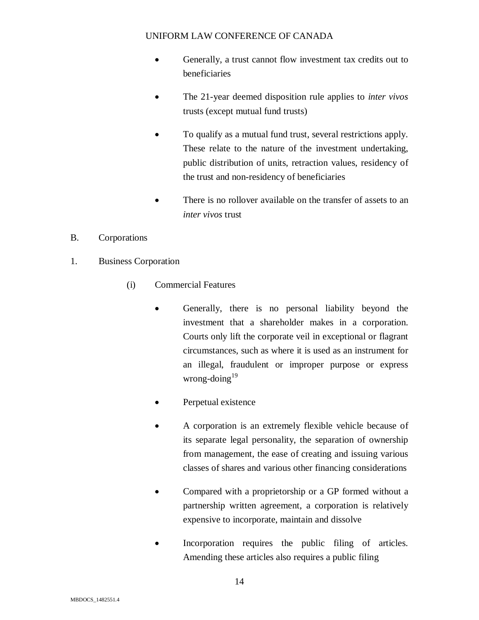- Generally, a trust cannot flow investment tax credits out to beneficiaries
- The 21-year deemed disposition rule applies to *inter vivos* trusts (except mutual fund trusts)
- To qualify as a mutual fund trust, several restrictions apply. These relate to the nature of the investment undertaking, public distribution of units, retraction values, residency of the trust and non-residency of beneficiaries
- There is no rollover available on the transfer of assets to an *inter vivos* trust
- B. Corporations
- 1. Business Corporation
	- (i) Commercial Features
		- Generally, there is no personal liability beyond the investment that a shareholder makes in a corporation. Courts only lift the corporate veil in exceptional or flagrant circumstances, such as where it is used as an instrument for an illegal, fraudulent or improper purpose or express wrong-doing 19
		- Perpetual existence
		- A corporation is an extremely flexible vehicle because of its separate legal personality, the separation of ownership from management, the ease of creating and issuing various classes of shares and various other financing considerations
		- Compared with a proprietorship or a GP formed without a partnership written agreement, a corporation is relatively expensive to incorporate, maintain and dissolve
		- Incorporation requires the public filing of articles. Amending these articles also requires a public filing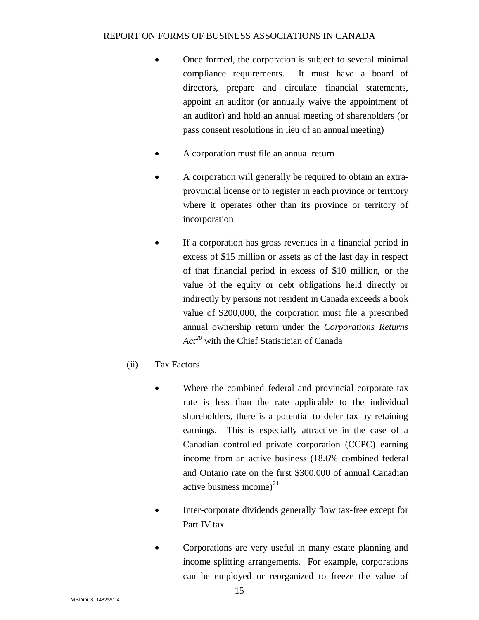- Once formed, the corporation is subject to several minimal compliance requirements. It must have a board of directors, prepare and circulate financial statements, appoint an auditor (or annually waive the appointment of an auditor) and hold an annual meeting of shareholders (or pass consent resolutions in lieu of an annual meeting)
- A corporation must file an annual return
- A corporation will generally be required to obtain an extraprovincial license or to register in each province or territory where it operates other than its province or territory of incorporation
- If a corporation has gross revenues in a financial period in excess of \$15 million or assets as of the last day in respect of that financial period in excess of \$10 million, or the value of the equity or debt obligations held directly or indirectly by persons not resident in Canada exceeds a book value of \$200,000, the corporation must file a prescribed annual ownership return under the *Corporations Returns Act 20* with the Chief Statistician of Canada
- (ii) Tax Factors
	- Where the combined federal and provincial corporate tax rate is less than the rate applicable to the individual shareholders, there is a potential to defer tax by retaining earnings. This is especially attractive in the case of a Canadian controlled private corporation (CCPC) earning income from an active business (18.6% combined federal and Ontario rate on the first \$300,000 of annual Canadian active business income) 21
	- Inter-corporate dividends generally flow tax-free except for Part IV tax
	- Corporations are very useful in many estate planning and income splitting arrangements. For example, corporations can be employed or reorganized to freeze the value of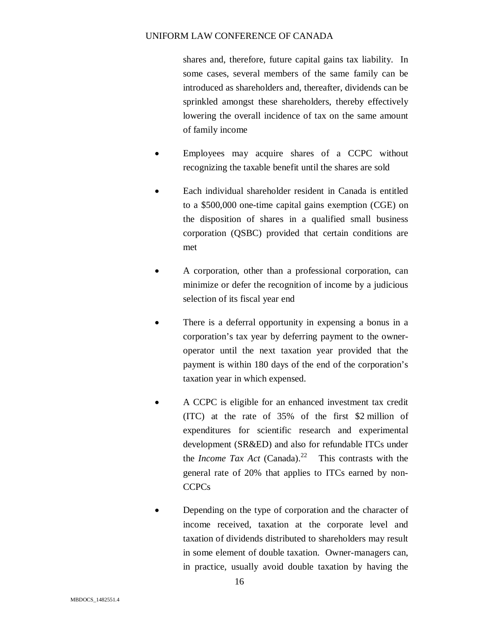shares and, therefore, future capital gains tax liability. In some cases, several members of the same family can be introduced as shareholders and, thereafter, dividends can be sprinkled amongst these shareholders, thereby effectively lowering the overall incidence of tax on the same amount of family income

- Employees may acquire shares of a CCPC without recognizing the taxable benefit until the shares are sold
- Each individual shareholder resident in Canada is entitled to a \$500,000 one-time capital gains exemption (CGE) on the disposition of shares in a qualified small business corporation (QSBC) provided that certain conditions are met
- A corporation, other than a professional corporation, can minimize or defer the recognition of income by a judicious selection of its fiscal year end
- There is a deferral opportunity in expensing a bonus in a corporation's tax year by deferring payment to the owneroperator until the next taxation year provided that the payment is within 180 days of the end of the corporation's taxation year in which expensed.
- A CCPC is eligible for an enhanced investment tax credit (ITC) at the rate of 35% of the first \$2 million of expenditures for scientific research and experimental development (SR&ED) and also for refundable ITCs under the *Income Tax Act* (Canada). 22 This contrasts with the general rate of 20% that applies to ITCs earned by non-**CCPCs**
- Depending on the type of corporation and the character of income received, taxation at the corporate level and taxation of dividends distributed to shareholders may result in some element of double taxation. Owner-managers can, in practice, usually avoid double taxation by having the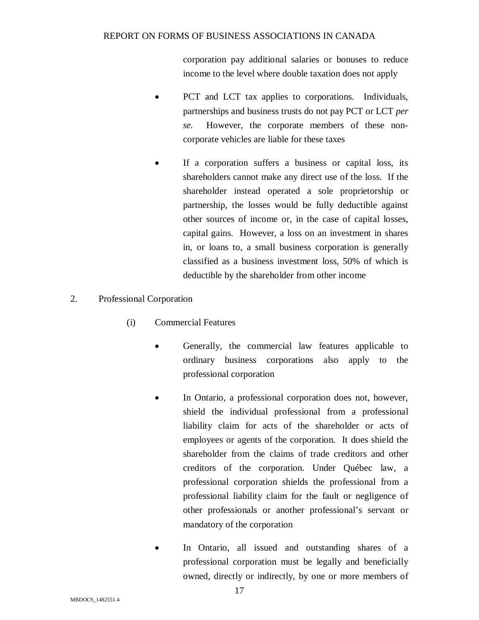corporation pay additional salaries or bonuses to reduce income to the level where double taxation does not apply

- PCT and LCT tax applies to corporations. Individuals, partnerships and business trusts do not pay PCT or LCT *per se.* However, the corporate members of these noncorporate vehicles are liable for these taxes
- If a corporation suffers a business or capital loss, its shareholders cannot make any direct use of the loss. If the shareholder instead operated a sole proprietorship or partnership, the losses would be fully deductible against other sources of income or, in the case of capital losses, capital gains. However, a loss on an investment in shares in, or loans to, a small business corporation is generally classified as a business investment loss, 50% of which is deductible by the shareholder from other income
- 2. Professional Corporation
	- (i) Commercial Features
		- Generally, the commercial law features applicable to ordinary business corporations also apply to the professional corporation
		- In Ontario, a professional corporation does not, however, shield the individual professional from a professional liability claim for acts of the shareholder or acts of employees or agents of the corporation. It does shield the shareholder from the claims of trade creditors and other creditors of the corporation. Under Québec law, a professional corporation shields the professional from a professional liability claim for the fault or negligence of other professionals or another professional's servant or mandatory of the corporation
		- In Ontario, all issued and outstanding shares of a professional corporation must be legally and beneficially owned, directly or indirectly, by one or more members of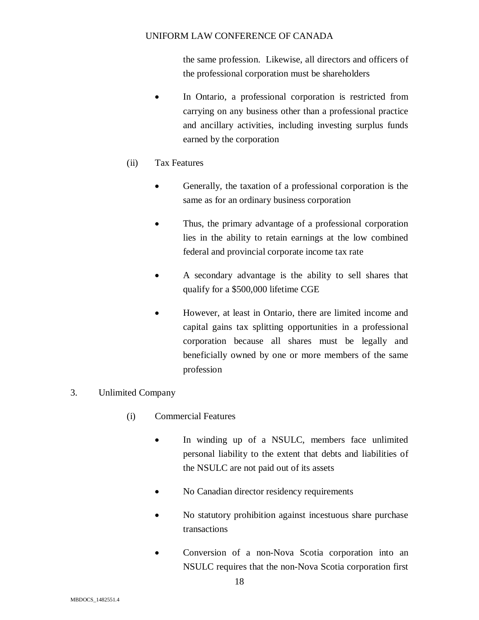the same profession. Likewise, all directors and officers of the professional corporation must be shareholders

- In Ontario, a professional corporation is restricted from carrying on any business other than a professional practice and ancillary activities, including investing surplus funds earned by the corporation
- (ii) Tax Features
	- Generally, the taxation of a professional corporation is the same as for an ordinary business corporation
	- Thus, the primary advantage of a professional corporation lies in the ability to retain earnings at the low combined federal and provincial corporate income tax rate
	- A secondary advantage is the ability to sell shares that qualify for a \$500,000 lifetime CGE
	- However, at least in Ontario, there are limited income and capital gains tax splitting opportunities in a professional corporation because all shares must be legally and beneficially owned by one or more members of the same profession
- 3. Unlimited Company
	- (i) Commercial Features
		- In winding up of a NSULC, members face unlimited personal liability to the extent that debts and liabilities of the NSULC are not paid out of its assets
		- No Canadian director residency requirements
		- No statutory prohibition against incestuous share purchase transactions
		- Conversion of a non-Nova Scotia corporation into an NSULC requires that the non-Nova Scotia corporation first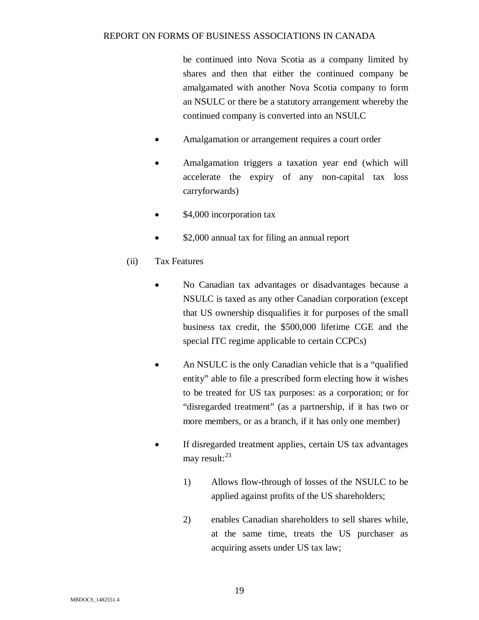be continued into Nova Scotia as a company limited by shares and then that either the continued company be amalgamated with another Nova Scotia company to form an NSULC or there be a statutory arrangement whereby the continued company is converted into an NSULC

- Amalgamation or arrangement requires a court order
- Amalgamation triggers a taxation year end (which will accelerate the expiry of any non-capital tax loss carryforwards)
- \$4,000 incorporation tax
- \$2,000 annual tax for filing an annual report
- (ii) Tax Features
	- No Canadian tax advantages or disadvantages because a NSULC is taxed as any other Canadian corporation (except that US ownership disqualifies it for purposes of the small business tax credit, the \$500,000 lifetime CGE and the special ITC regime applicable to certain CCPCs)
	- An NSULC is the only Canadian vehicle that is a "qualified" entity" able to file a prescribed form electing how it wishes to be treated for US tax purposes: as a corporation; or for "disregarded treatment" (as a partnership, if it has two or more members, or as a branch, if it has only one member)
	- If disregarded treatment applies, certain US tax advantages may result: 23
		- 1) Allows flow-through of losses of the NSULC to be applied against profits of the US shareholders;
		- 2) enables Canadian shareholders to sell shares while, at the same time, treats the US purchaser as acquiring assets under US tax law;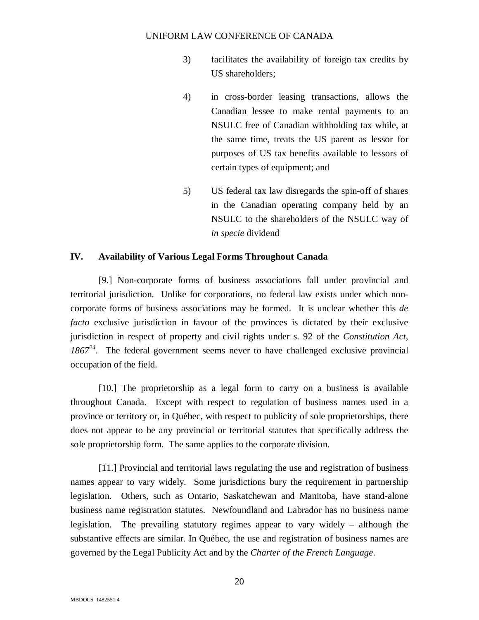- 3) facilitates the availability of foreign tax credits by US shareholders;
- 4) in cross-border leasing transactions, allows the Canadian lessee to make rental payments to an NSULC free of Canadian withholding tax while, at the same time, treats the US parent as lessor for purposes of US tax benefits available to lessors of certain types of equipment; and
- 5) US federal tax law disregards the spin-off of shares in the Canadian operating company held by an NSULC to the shareholders of the NSULC way of *in specie* dividend

# **IV. Availability of Various Legal Forms Throughout Canada**

[9.] Non-corporate forms of business associations fall under provincial and territorial jurisdiction. Unlike for corporations, no federal law exists under which noncorporate forms of business associations may be formed. It is unclear whether this *de facto* exclusive jurisdiction in favour of the provinces is dictated by their exclusive jurisdiction in respect of property and civil rights under s. 92 of the *Constitution Act,*  $1867<sup>24</sup>$ . The federal government seems never to have challenged exclusive provincial occupation of the field.

[10.] The proprietorship as a legal form to carry on a business is available throughout Canada. Except with respect to regulation of business names used in a province or territory or, in Québec, with respect to publicity of sole proprietorships, there does not appear to be any provincial or territorial statutes that specifically address the sole proprietorship form. The same applies to the corporate division.

[11.] Provincial and territorial laws regulating the use and registration of business names appear to vary widely. Some jurisdictions bury the requirement in partnership legislation. Others, such as Ontario, Saskatchewan and Manitoba, have stand-alone business name registration statutes. Newfoundland and Labrador has no business name legislation. The prevailing statutory regimes appear to vary widely – although the substantive effects are similar. In Québec, the use and registration of business names are governed by the Legal Publicity Act and by the *Charter of the French Language*.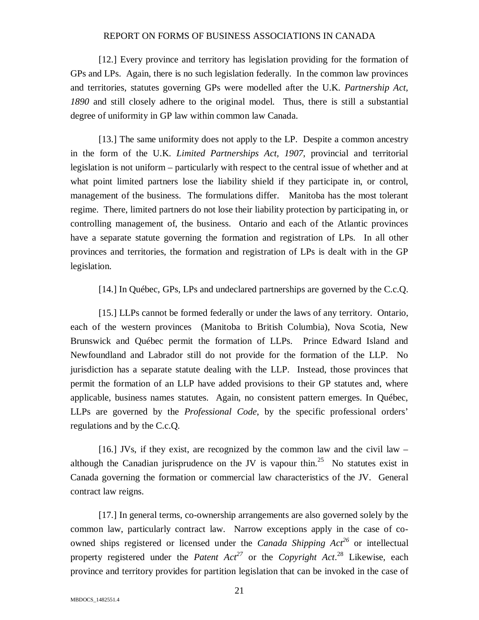[12.] Every province and territory has legislation providing for the formation of GPs and LPs. Again, there is no such legislation federally. In the common law provinces and territories, statutes governing GPs were modelled after the U.K. *Partnership Act, 1890* and still closely adhere to the original model. Thus, there is still a substantial degree of uniformity in GP law within common law Canada.

[13.] The same uniformity does not apply to the LP. Despite a common ancestry in the form of the U.K. *Limited Partnerships Act, 1907*, provincial and territorial legislation is not uniform – particularly with respect to the central issue of whether and at what point limited partners lose the liability shield if they participate in, or control, management of the business. The formulations differ. Manitoba has the most tolerant regime. There, limited partners do not lose their liability protection by participating in, or controlling management of, the business. Ontario and each of the Atlantic provinces have a separate statute governing the formation and registration of LPs. In all other provinces and territories, the formation and registration of LPs is dealt with in the GP legislation.

[14.] In Québec, GPs, LPs and undeclared partnerships are governed by the C.c.Q.

[15.] LLPs cannot be formed federally or under the laws of any territory. Ontario, each of the western provinces (Manitoba to British Columbia), Nova Scotia, New Brunswick and Québec permit the formation of LLPs. Prince Edward Island and Newfoundland and Labrador still do not provide for the formation of the LLP. No jurisdiction has a separate statute dealing with the LLP. Instead, those provinces that permit the formation of an LLP have added provisions to their GP statutes and, where applicable, business names statutes. Again, no consistent pattern emerges. In Québec, LLPs are governed by the *Professional Code*, by the specific professional orders' regulations and by the C.c.Q*.*

[16.] JVs, if they exist, are recognized by the common law and the civil law  $$ although the Canadian jurisprudence on the JV is vapour thin.<sup>25</sup> No statutes exist in Canada governing the formation or commercial law characteristics of the JV. General contract law reigns.

[17.] In general terms, co-ownership arrangements are also governed solely by the common law, particularly contract law. Narrow exceptions apply in the case of coowned ships registered or licensed under the *Canada Shipping Act 26* or intellectual property registered under the *Patent Act 27* or the *Copyright Act*. 28 Likewise, each province and territory provides for partition legislation that can be invoked in the case of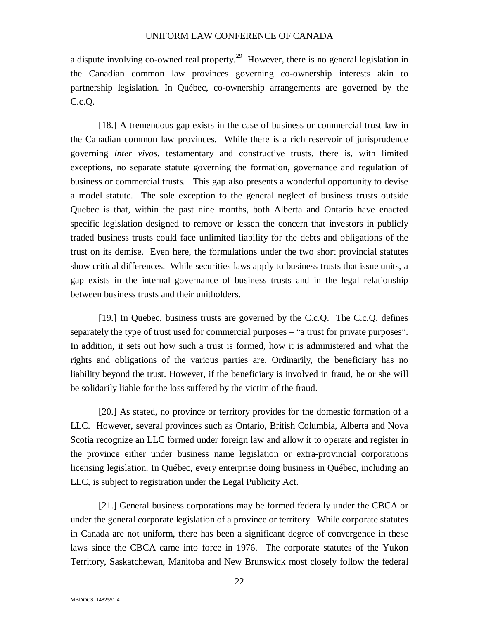a dispute involving co-owned real property.<sup>29</sup> However, there is no general legislation in the Canadian common law provinces governing co-ownership interests akin to partnership legislation. In Québec, co-ownership arrangements are governed by the C.c.Q.

[18.] A tremendous gap exists in the case of business or commercial trust law in the Canadian common law provinces. While there is a rich reservoir of jurisprudence governing *inter vivos*, testamentary and constructive trusts, there is, with limited exceptions, no separate statute governing the formation, governance and regulation of business or commercial trusts. This gap also presents a wonderful opportunity to devise a model statute. The sole exception to the general neglect of business trusts outside Quebec is that, within the past nine months, both Alberta and Ontario have enacted specific legislation designed to remove or lessen the concern that investors in publicly traded business trusts could face unlimited liability for the debts and obligations of the trust on its demise. Even here, the formulations under the two short provincial statutes show critical differences. While securities laws apply to business trusts that issue units, a gap exists in the internal governance of business trusts and in the legal relationship between business trusts and their unitholders.

[19.] In Quebec, business trusts are governed by the C.c.Q. The C.c.Q. defines separately the type of trust used for commercial purposes – "a trust for private purposes". In addition, it sets out how such a trust is formed, how it is administered and what the rights and obligations of the various parties are. Ordinarily, the beneficiary has no liability beyond the trust. However, if the beneficiary is involved in fraud, he or she will be solidarily liable for the loss suffered by the victim of the fraud.

[20.] As stated, no province or territory provides for the domestic formation of a LLC. However, several provinces such as Ontario, British Columbia, Alberta and Nova Scotia recognize an LLC formed under foreign law and allow it to operate and register in the province either under business name legislation or extra-provincial corporations licensing legislation. In Québec, every enterprise doing business in Québec, including an LLC, is subject to registration under the Legal Publicity Act.

[21.] General business corporations may be formed federally under the CBCA or under the general corporate legislation of a province or territory. While corporate statutes in Canada are not uniform, there has been a significant degree of convergence in these laws since the CBCA came into force in 1976. The corporate statutes of the Yukon Territory, Saskatchewan, Manitoba and New Brunswick most closely follow the federal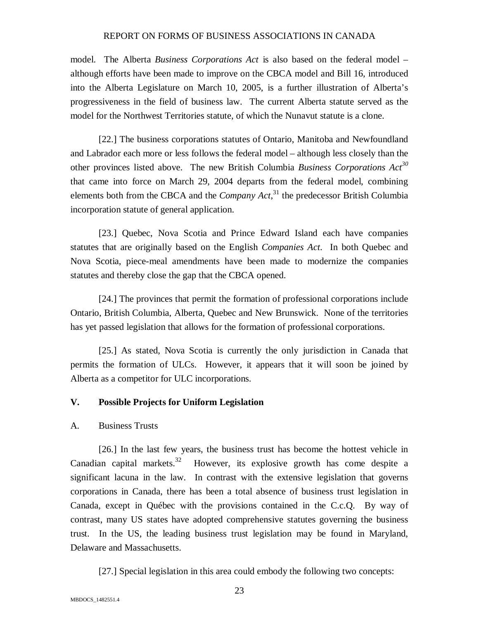model. The Alberta *Business Corporations Act* is also based on the federal model – although efforts have been made to improve on the CBCA model and Bill 16, introduced into the Alberta Legislature on March 10, 2005, is a further illustration of Alberta's progressiveness in the field of business law. The current Alberta statute served as the model for the Northwest Territories statute, of which the Nunavut statute is a clone.

[22.] The business corporations statutes of Ontario, Manitoba and Newfoundland and Labrador each more or less follows the federal model – although less closely than the other provinces listed above. The new British Columbia *Business Corporations Act 30* that came into force on March 29, 2004 departs from the federal model, combining elements both from the CBCA and the *Company Act*, 31 the predecessor British Columbia incorporation statute of general application.

[23.] Quebec, Nova Scotia and Prince Edward Island each have companies statutes that are originally based on the English *Companies Act*. In both Quebec and Nova Scotia, piece-meal amendments have been made to modernize the companies statutes and thereby close the gap that the CBCA opened.

[24.] The provinces that permit the formation of professional corporations include Ontario, British Columbia, Alberta, Quebec and New Brunswick. None of the territories has yet passed legislation that allows for the formation of professional corporations.

[25.] As stated, Nova Scotia is currently the only jurisdiction in Canada that permits the formation of ULCs. However, it appears that it will soon be joined by Alberta as a competitor for ULC incorporations.

# **V. Possible Projects for Uniform Legislation**

### A. Business Trusts

[26.] In the last few years, the business trust has become the hottest vehicle in Canadian capital markets.<sup>32</sup> However, its explosive growth has come despite a significant lacuna in the law. In contrast with the extensive legislation that governs corporations in Canada, there has been a total absence of business trust legislation in Canada, except in Québec with the provisions contained in the C.c.Q. By way of contrast, many US states have adopted comprehensive statutes governing the business trust. In the US, the leading business trust legislation may be found in Maryland, Delaware and Massachusetts.

[27.] Special legislation in this area could embody the following two concepts: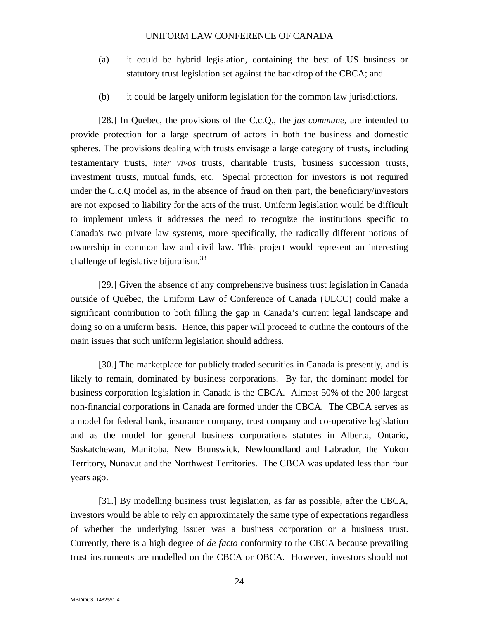- (a) it could be hybrid legislation, containing the best of US business or statutory trust legislation set against the backdrop of the CBCA; and
- (b) it could be largely uniform legislation for the common law jurisdictions.

[28.] In Québec, the provisions of the C.c.Q., the *jus commune*, are intended to provide protection for a large spectrum of actors in both the business and domestic spheres. The provisions dealing with trusts envisage a large category of trusts, including testamentary trusts, *inter vivos* trusts, charitable trusts, business succession trusts, investment trusts, mutual funds, etc. Special protection for investors is not required under the C.c.Q model as, in the absence of fraud on their part, the beneficiary/investors are not exposed to liability for the acts of the trust. Uniform legislation would be difficult to implement unless it addresses the need to recognize the institutions specific to Canada's two private law systems, more specifically, the radically different notions of ownership in common law and civil law. This project would represent an interesting challenge of legislative bijuralism.<sup>33</sup>

[29.] Given the absence of any comprehensive business trust legislation in Canada outside of Québec, the Uniform Law of Conference of Canada (ULCC) could make a significant contribution to both filling the gap in Canada's current legal landscape and doing so on a uniform basis. Hence, this paper will proceed to outline the contours of the main issues that such uniform legislation should address.

[30.] The marketplace for publicly traded securities in Canada is presently, and is likely to remain, dominated by business corporations. By far, the dominant model for business corporation legislation in Canada is the CBCA. Almost 50% of the 200 largest non-financial corporations in Canada are formed under the CBCA. The CBCA serves as a model for federal bank, insurance company, trust company and co-operative legislation and as the model for general business corporations statutes in Alberta, Ontario, Saskatchewan, Manitoba, New Brunswick, Newfoundland and Labrador, the Yukon Territory, Nunavut and the Northwest Territories. The CBCA was updated less than four years ago.

[31.] By modelling business trust legislation, as far as possible, after the CBCA, investors would be able to rely on approximately the same type of expectations regardless of whether the underlying issuer was a business corporation or a business trust. Currently, there is a high degree of *de facto* conformity to the CBCA because prevailing trust instruments are modelled on the CBCA or OBCA. However, investors should not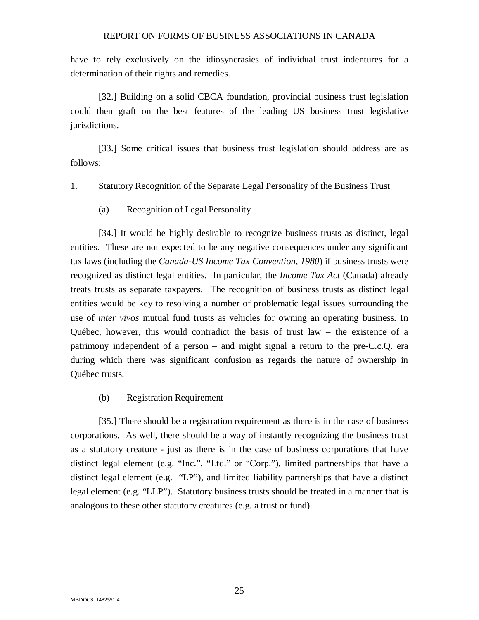have to rely exclusively on the idiosyncrasies of individual trust indentures for a determination of their rights and remedies.

[32.] Building on a solid CBCA foundation, provincial business trust legislation could then graft on the best features of the leading US business trust legislative jurisdictions.

[33.] Some critical issues that business trust legislation should address are as follows:

1. Statutory Recognition of the Separate Legal Personality of the Business Trust

(a) Recognition of Legal Personality

[34.] It would be highly desirable to recognize business trusts as distinct, legal entities. These are not expected to be any negative consequences under any significant tax laws (including the *Canada-US Income Tax Convention, 1980*) if business trusts were recognized as distinct legal entities. In particular, the *Income Tax Act* (Canada) already treats trusts as separate taxpayers. The recognition of business trusts as distinct legal entities would be key to resolving a number of problematic legal issues surrounding the use of *inter vivos* mutual fund trusts as vehicles for owning an operating business. In Québec, however, this would contradict the basis of trust law – the existence of a patrimony independent of a person – and might signal a return to the pre-C.c.Q. era during which there was significant confusion as regards the nature of ownership in Québec trusts.

### (b) Registration Requirement

[35.] There should be a registration requirement as there is in the case of business corporations. As well, there should be a way of instantly recognizing the business trust as a statutory creature - just as there is in the case of business corporations that have distinct legal element (e.g. "Inc.", "Ltd." or "Corp."), limited partnerships that have a distinct legal element (e.g. "LP"), and limited liability partnerships that have a distinct legal element (e.g. "LLP"). Statutory business trusts should be treated in a manner that is analogous to these other statutory creatures (e.g. a trust or fund).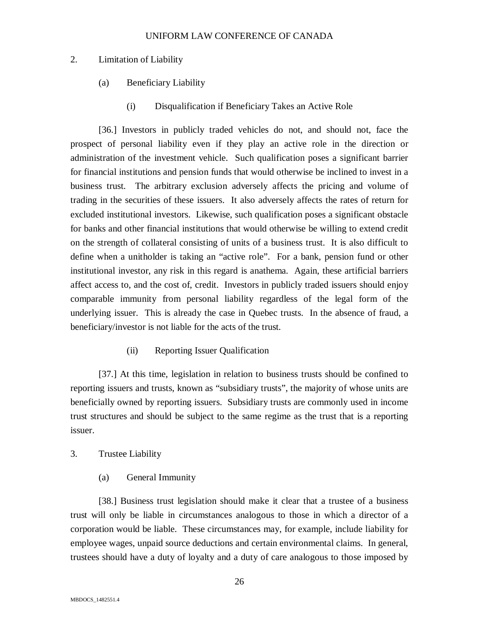### 2. Limitation of Liability

- (a) Beneficiary Liability
	- (i) Disqualification if Beneficiary Takes an Active Role

[36.] Investors in publicly traded vehicles do not, and should not, face the prospect of personal liability even if they play an active role in the direction or administration of the investment vehicle. Such qualification poses a significant barrier for financial institutions and pension funds that would otherwise be inclined to invest in a business trust. The arbitrary exclusion adversely affects the pricing and volume of trading in the securities of these issuers. It also adversely affects the rates of return for excluded institutional investors. Likewise, such qualification poses a significant obstacle for banks and other financial institutions that would otherwise be willing to extend credit on the strength of collateral consisting of units of a business trust. It is also difficult to define when a unitholder is taking an "active role". For a bank, pension fund or other institutional investor, any risk in this regard is anathema. Again, these artificial barriers affect access to, and the cost of, credit. Investors in publicly traded issuers should enjoy comparable immunity from personal liability regardless of the legal form of the underlying issuer. This is already the case in Quebec trusts. In the absence of fraud, a beneficiary/investor is not liable for the acts of the trust.

(ii) Reporting Issuer Qualification

[37.] At this time, legislation in relation to business trusts should be confined to reporting issuers and trusts, known as "subsidiary trusts", the majority of whose units are beneficially owned by reporting issuers. Subsidiary trusts are commonly used in income trust structures and should be subject to the same regime as the trust that is a reporting issuer.

# 3. Trustee Liability

(a) General Immunity

[38.] Business trust legislation should make it clear that a trustee of a business trust will only be liable in circumstances analogous to those in which a director of a corporation would be liable. These circumstances may, for example, include liability for employee wages, unpaid source deductions and certain environmental claims. In general, trustees should have a duty of loyalty and a duty of care analogous to those imposed by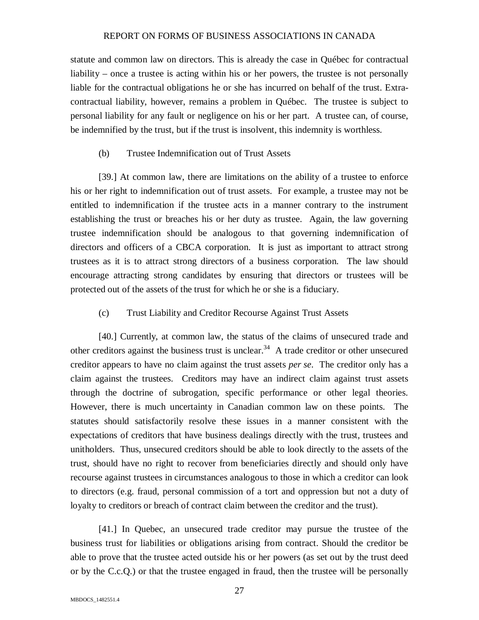statute and common law on directors. This is already the case in Québec for contractual liability – once a trustee is acting within his or her powers, the trustee is not personally liable for the contractual obligations he or she has incurred on behalf of the trust. Extracontractual liability, however, remains a problem in Québec. The trustee is subject to personal liability for any fault or negligence on his or her part. A trustee can, of course, be indemnified by the trust, but if the trust is insolvent, this indemnity is worthless.

#### (b) Trustee Indemnification out of Trust Assets

[39.] At common law, there are limitations on the ability of a trustee to enforce his or her right to indemnification out of trust assets. For example, a trustee may not be entitled to indemnification if the trustee acts in a manner contrary to the instrument establishing the trust or breaches his or her duty as trustee. Again, the law governing trustee indemnification should be analogous to that governing indemnification of directors and officers of a CBCA corporation. It is just as important to attract strong trustees as it is to attract strong directors of a business corporation. The law should encourage attracting strong candidates by ensuring that directors or trustees will be protected out of the assets of the trust for which he or she is a fiduciary.

#### (c) Trust Liability and Creditor Recourse Against Trust Assets

[40.] Currently, at common law, the status of the claims of unsecured trade and other creditors against the business trust is unclear.<sup>34</sup> A trade creditor or other unsecured creditor appears to have no claim against the trust assets *per se*. The creditor only has a claim against the trustees. Creditors may have an indirect claim against trust assets through the doctrine of subrogation, specific performance or other legal theories. However, there is much uncertainty in Canadian common law on these points. The statutes should satisfactorily resolve these issues in a manner consistent with the expectations of creditors that have business dealings directly with the trust, trustees and unitholders. Thus, unsecured creditors should be able to look directly to the assets of the trust, should have no right to recover from beneficiaries directly and should only have recourse against trustees in circumstances analogous to those in which a creditor can look to directors (e.g. fraud, personal commission of a tort and oppression but not a duty of loyalty to creditors or breach of contract claim between the creditor and the trust).

[41.] In Quebec, an unsecured trade creditor may pursue the trustee of the business trust for liabilities or obligations arising from contract. Should the creditor be able to prove that the trustee acted outside his or her powers (as set out by the trust deed or by the C.c.Q.) or that the trustee engaged in fraud, then the trustee will be personally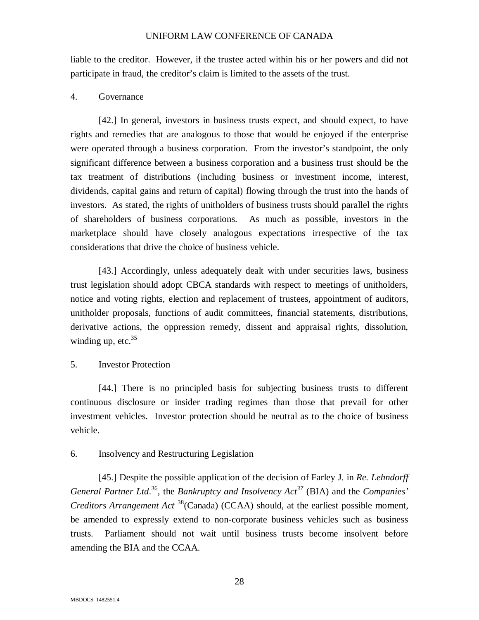liable to the creditor. However, if the trustee acted within his or her powers and did not participate in fraud, the creditor's claim is limited to the assets of the trust.

### 4. Governance

[42.] In general, investors in business trusts expect, and should expect, to have rights and remedies that are analogous to those that would be enjoyed if the enterprise were operated through a business corporation. From the investor's standpoint, the only significant difference between a business corporation and a business trust should be the tax treatment of distributions (including business or investment income, interest, dividends, capital gains and return of capital) flowing through the trust into the hands of investors. As stated, the rights of unitholders of business trusts should parallel the rights of shareholders of business corporations. As much as possible, investors in the marketplace should have closely analogous expectations irrespective of the tax considerations that drive the choice of business vehicle.

[43.] Accordingly, unless adequately dealt with under securities laws, business trust legislation should adopt CBCA standards with respect to meetings of unitholders, notice and voting rights, election and replacement of trustees, appointment of auditors, unitholder proposals, functions of audit committees, financial statements, distributions, derivative actions, the oppression remedy, dissent and appraisal rights, dissolution, winding up, etc.<sup>35</sup>

### 5. Investor Protection

[44.] There is no principled basis for subjecting business trusts to different continuous disclosure or insider trading regimes than those that prevail for other investment vehicles. Investor protection should be neutral as to the choice of business vehicle.

### 6. Insolvency and Restructuring Legislation

[45.] Despite the possible application of the decision of Farley J. in *Re. Lehndorff General Partner Ltd*. 36 , the *Bankruptcy and Insolvency Act 37* (BIA) and the *Companies' Creditors Arrangement Act* 38 (Canada) (CCAA) should, at the earliest possible moment, be amended to expressly extend to non-corporate business vehicles such as business trusts. Parliament should not wait until business trusts become insolvent before amending the BIA and the CCAA.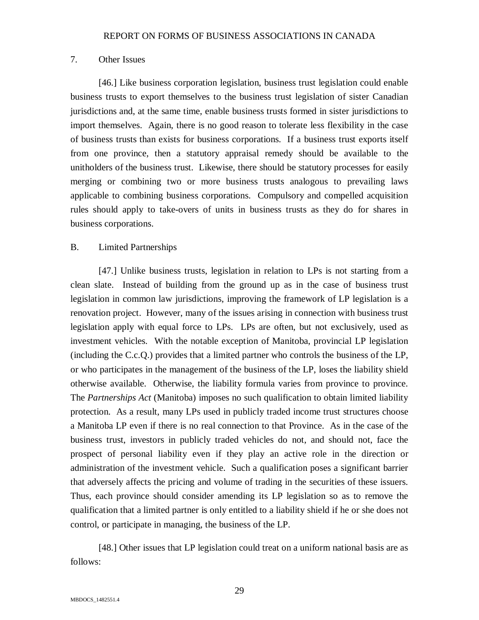#### 7. Other Issues

[46.] Like business corporation legislation, business trust legislation could enable business trusts to export themselves to the business trust legislation of sister Canadian jurisdictions and, at the same time, enable business trusts formed in sister jurisdictions to import themselves. Again, there is no good reason to tolerate less flexibility in the case of business trusts than exists for business corporations. If a business trust exports itself from one province, then a statutory appraisal remedy should be available to the unitholders of the business trust. Likewise, there should be statutory processes for easily merging or combining two or more business trusts analogous to prevailing laws applicable to combining business corporations. Compulsory and compelled acquisition rules should apply to take-overs of units in business trusts as they do for shares in business corporations.

### B. Limited Partnerships

[47.] Unlike business trusts, legislation in relation to LPs is not starting from a clean slate. Instead of building from the ground up as in the case of business trust legislation in common law jurisdictions, improving the framework of LP legislation is a renovation project. However, many of the issues arising in connection with business trust legislation apply with equal force to LPs. LPs are often, but not exclusively, used as investment vehicles. With the notable exception of Manitoba, provincial LP legislation (including the C.c.Q.) provides that a limited partner who controls the business of the LP, or who participates in the management of the business of the LP, loses the liability shield otherwise available. Otherwise, the liability formula varies from province to province. The *Partnerships Act* (Manitoba) imposes no such qualification to obtain limited liability protection. As a result, many LPs used in publicly traded income trust structures choose a Manitoba LP even if there is no real connection to that Province. As in the case of the business trust, investors in publicly traded vehicles do not, and should not, face the prospect of personal liability even if they play an active role in the direction or administration of the investment vehicle. Such a qualification poses a significant barrier that adversely affects the pricing and volume of trading in the securities of these issuers. Thus, each province should consider amending its LP legislation so as to remove the qualification that a limited partner is only entitled to a liability shield if he or she does not control, or participate in managing, the business of the LP.

[48.] Other issues that LP legislation could treat on a uniform national basis are as follows: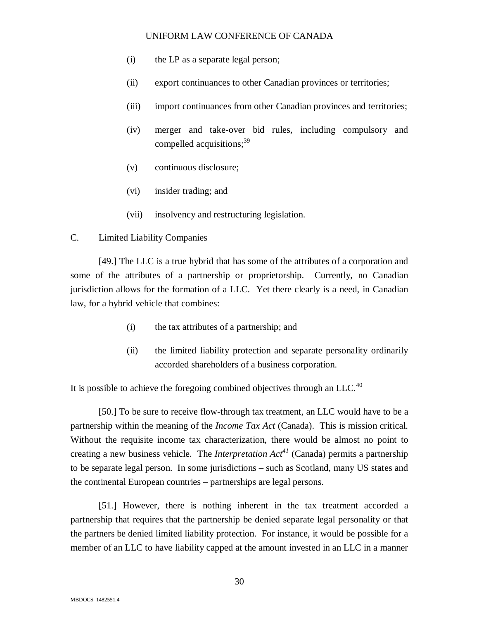- (i) the LP as a separate legal person;
- (ii) export continuances to other Canadian provinces or territories;
- (iii) import continuances from other Canadian provinces and territories;
- (iv) merger and take-over bid rules, including compulsory and compelled acquisitions;<sup>39</sup>
- (v) continuous disclosure;
- (vi) insider trading; and
- (vii) insolvency and restructuring legislation.

## C. Limited Liability Companies

[49.] The LLC is a true hybrid that has some of the attributes of a corporation and some of the attributes of a partnership or proprietorship. Currently, no Canadian jurisdiction allows for the formation of a LLC. Yet there clearly is a need, in Canadian law, for a hybrid vehicle that combines:

- (i) the tax attributes of a partnership; and
- (ii) the limited liability protection and separate personality ordinarily accorded shareholders of a business corporation.

It is possible to achieve the foregoing combined objectives through an LLC.<sup>40</sup>

[50.] To be sure to receive flow-through tax treatment, an LLC would have to be a partnership within the meaning of the *Income Tax Act* (Canada). This is mission critical. Without the requisite income tax characterization, there would be almost no point to creating a new business vehicle. The *Interpretation Act 41* (Canada) permits a partnership to be separate legal person. In some jurisdictions – such as Scotland, many US states and the continental European countries – partnerships are legal persons.

[51.] However, there is nothing inherent in the tax treatment accorded a partnership that requires that the partnership be denied separate legal personality or that the partners be denied limited liability protection. For instance, it would be possible for a member of an LLC to have liability capped at the amount invested in an LLC in a manner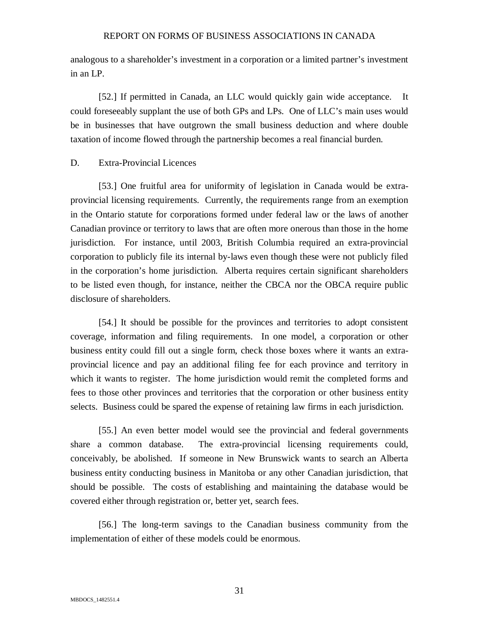analogous to a shareholder's investment in a corporation or a limited partner's investment in an LP.

[52.] If permitted in Canada, an LLC would quickly gain wide acceptance. It could foreseeably supplant the use of both GPs and LPs. One of LLC's main uses would be in businesses that have outgrown the small business deduction and where double taxation of income flowed through the partnership becomes a real financial burden.

### D. Extra-Provincial Licences

[53.] One fruitful area for uniformity of legislation in Canada would be extraprovincial licensing requirements. Currently, the requirements range from an exemption in the Ontario statute for corporations formed under federal law or the laws of another Canadian province or territory to laws that are often more onerous than those in the home jurisdiction. For instance, until 2003, British Columbia required an extra-provincial corporation to publicly file its internal by-laws even though these were not publicly filed in the corporation's home jurisdiction. Alberta requires certain significant shareholders to be listed even though, for instance, neither the CBCA nor the OBCA require public disclosure of shareholders.

[54.] It should be possible for the provinces and territories to adopt consistent coverage, information and filing requirements. In one model, a corporation or other business entity could fill out a single form, check those boxes where it wants an extraprovincial licence and pay an additional filing fee for each province and territory in which it wants to register. The home jurisdiction would remit the completed forms and fees to those other provinces and territories that the corporation or other business entity selects. Business could be spared the expense of retaining law firms in each jurisdiction.

[55.] An even better model would see the provincial and federal governments share a common database. The extra-provincial licensing requirements could, conceivably, be abolished. If someone in New Brunswick wants to search an Alberta business entity conducting business in Manitoba or any other Canadian jurisdiction, that should be possible. The costs of establishing and maintaining the database would be covered either through registration or, better yet, search fees.

[56.] The long-term savings to the Canadian business community from the implementation of either of these models could be enormous.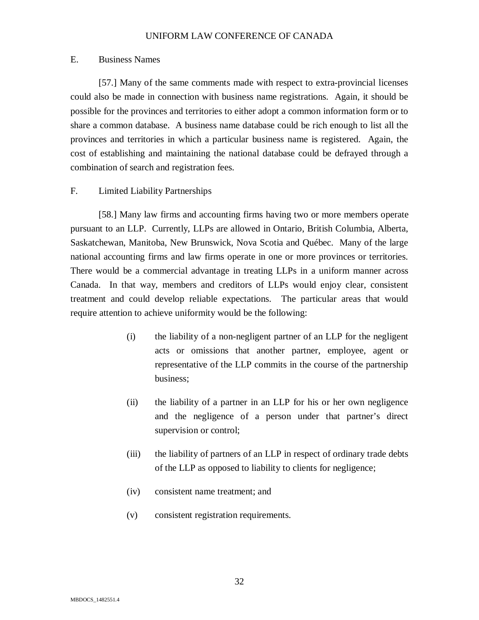### E. Business Names

[57.] Many of the same comments made with respect to extra-provincial licenses could also be made in connection with business name registrations. Again, it should be possible for the provinces and territories to either adopt a common information form or to share a common database. A business name database could be rich enough to list all the provinces and territories in which a particular business name is registered. Again, the cost of establishing and maintaining the national database could be defrayed through a combination of search and registration fees.

### F. Limited Liability Partnerships

[58.] Many law firms and accounting firms having two or more members operate pursuant to an LLP. Currently, LLPs are allowed in Ontario, British Columbia, Alberta, Saskatchewan, Manitoba, New Brunswick, Nova Scotia and Québec. Many of the large national accounting firms and law firms operate in one or more provinces or territories. There would be a commercial advantage in treating LLPs in a uniform manner across Canada. In that way, members and creditors of LLPs would enjoy clear, consistent treatment and could develop reliable expectations. The particular areas that would require attention to achieve uniformity would be the following:

- (i) the liability of a non-negligent partner of an LLP for the negligent acts or omissions that another partner, employee, agent or representative of the LLP commits in the course of the partnership business;
- (ii) the liability of a partner in an LLP for his or her own negligence and the negligence of a person under that partner's direct supervision or control;
- (iii) the liability of partners of an LLP in respect of ordinary trade debts of the LLP as opposed to liability to clients for negligence;
- (iv) consistent name treatment; and
- (v) consistent registration requirements.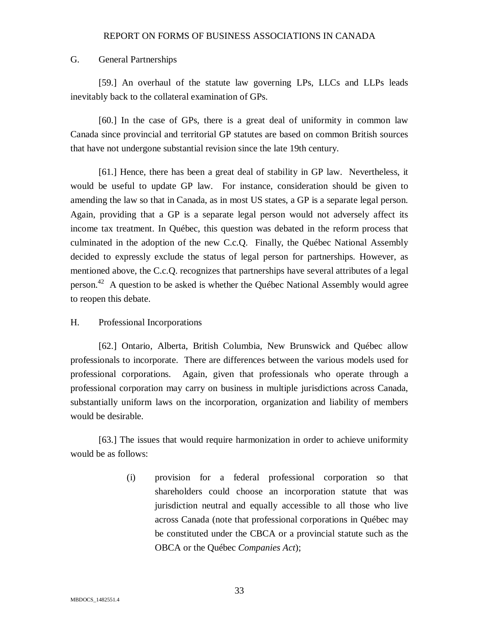### G. General Partnerships

[59.] An overhaul of the statute law governing LPs, LLCs and LLPs leads inevitably back to the collateral examination of GPs.

[60.] In the case of GPs, there is a great deal of uniformity in common law Canada since provincial and territorial GP statutes are based on common British sources that have not undergone substantial revision since the late 19th century.

[61.] Hence, there has been a great deal of stability in GP law. Nevertheless, it would be useful to update GP law. For instance, consideration should be given to amending the law so that in Canada, as in most US states, a GP is a separate legal person. Again, providing that a GP is a separate legal person would not adversely affect its income tax treatment. In Québec, this question was debated in the reform process that culminated in the adoption of the new C.c.Q. Finally, the Québec National Assembly decided to expressly exclude the status of legal person for partnerships. However, as mentioned above, the C.c.Q. recognizes that partnerships have several attributes of a legal person.<sup>42</sup> A question to be asked is whether the Québec National Assembly would agree to reopen this debate.

### H. Professional Incorporations

[62.] Ontario, Alberta, British Columbia, New Brunswick and Québec allow professionals to incorporate. There are differences between the various models used for professional corporations. Again, given that professionals who operate through a professional corporation may carry on business in multiple jurisdictions across Canada, substantially uniform laws on the incorporation, organization and liability of members would be desirable.

[63.] The issues that would require harmonization in order to achieve uniformity would be as follows:

> (i) provision for a federal professional corporation so that shareholders could choose an incorporation statute that was jurisdiction neutral and equally accessible to all those who live across Canada (note that professional corporations in Québec may be constituted under the CBCA or a provincial statute such as the OBCA or the Québec *Companies Act*);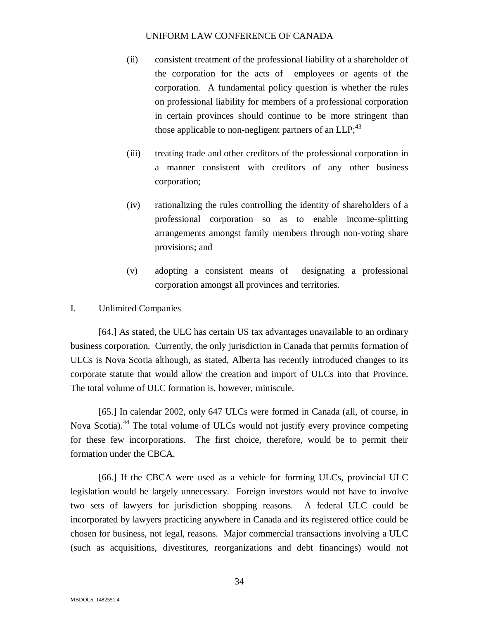- (ii) consistent treatment of the professional liability of a shareholder of the corporation for the acts of employees or agents of the corporation. A fundamental policy question is whether the rules on professional liability for members of a professional corporation in certain provinces should continue to be more stringent than those applicable to non-negligent partners of an  $LLP<sub>1</sub><sup>43</sup>$
- (iii) treating trade and other creditors of the professional corporation in a manner consistent with creditors of any other business corporation;
- (iv) rationalizing the rules controlling the identity of shareholders of a professional corporation so as to enable income-splitting arrangements amongst family members through non-voting share provisions; and
- (v) adopting a consistent means of designating a professional corporation amongst all provinces and territories.

### I. Unlimited Companies

[64.] As stated, the ULC has certain US tax advantages unavailable to an ordinary business corporation. Currently, the only jurisdiction in Canada that permits formation of ULCs is Nova Scotia although, as stated, Alberta has recently introduced changes to its corporate statute that would allow the creation and import of ULCs into that Province. The total volume of ULC formation is, however, miniscule.

[65.] In calendar 2002, only 647 ULCs were formed in Canada (all, of course, in Nova Scotia).<sup>44</sup> The total volume of ULCs would not justify every province competing for these few incorporations. The first choice, therefore, would be to permit their formation under the CBCA.

[66.] If the CBCA were used as a vehicle for forming ULCs, provincial ULC legislation would be largely unnecessary. Foreign investors would not have to involve two sets of lawyers for jurisdiction shopping reasons. A federal ULC could be incorporated by lawyers practicing anywhere in Canada and its registered office could be chosen for business, not legal, reasons. Major commercial transactions involving a ULC (such as acquisitions, divestitures, reorganizations and debt financings) would not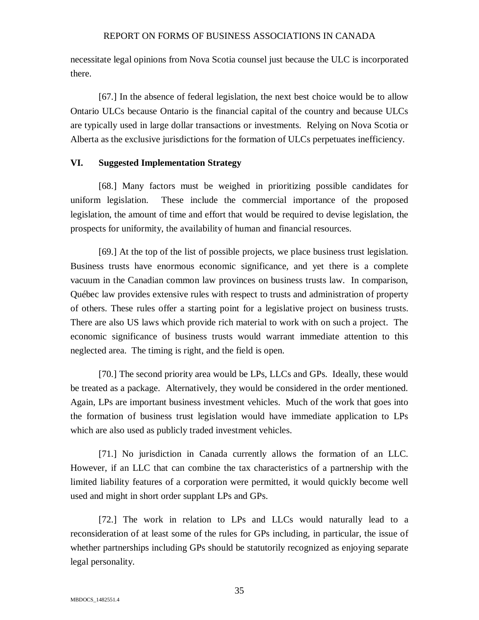necessitate legal opinions from Nova Scotia counsel just because the ULC is incorporated there.

[67.] In the absence of federal legislation, the next best choice would be to allow Ontario ULCs because Ontario is the financial capital of the country and because ULCs are typically used in large dollar transactions or investments. Relying on Nova Scotia or Alberta as the exclusive jurisdictions for the formation of ULCs perpetuates inefficiency.

### **VI. Suggested Implementation Strategy**

[68.] Many factors must be weighed in prioritizing possible candidates for uniform legislation. These include the commercial importance of the proposed legislation, the amount of time and effort that would be required to devise legislation, the prospects for uniformity, the availability of human and financial resources.

[69.] At the top of the list of possible projects, we place business trust legislation. Business trusts have enormous economic significance, and yet there is a complete vacuum in the Canadian common law provinces on business trusts law. In comparison, Québec law provides extensive rules with respect to trusts and administration of property of others. These rules offer a starting point for a legislative project on business trusts. There are also US laws which provide rich material to work with on such a project. The economic significance of business trusts would warrant immediate attention to this neglected area. The timing is right, and the field is open.

[70.] The second priority area would be LPs, LLCs and GPs. Ideally, these would be treated as a package. Alternatively, they would be considered in the order mentioned. Again, LPs are important business investment vehicles. Much of the work that goes into the formation of business trust legislation would have immediate application to LPs which are also used as publicly traded investment vehicles.

[71.] No jurisdiction in Canada currently allows the formation of an LLC. However, if an LLC that can combine the tax characteristics of a partnership with the limited liability features of a corporation were permitted, it would quickly become well used and might in short order supplant LPs and GPs.

[72.] The work in relation to LPs and LLCs would naturally lead to a reconsideration of at least some of the rules for GPs including, in particular, the issue of whether partnerships including GPs should be statutorily recognized as enjoying separate legal personality.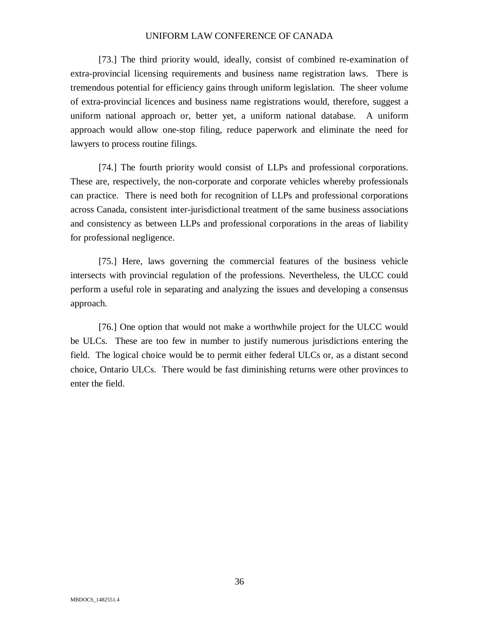[73.] The third priority would, ideally, consist of combined re-examination of extra-provincial licensing requirements and business name registration laws. There is tremendous potential for efficiency gains through uniform legislation. The sheer volume of extra-provincial licences and business name registrations would, therefore, suggest a uniform national approach or, better yet, a uniform national database. A uniform approach would allow one-stop filing, reduce paperwork and eliminate the need for lawyers to process routine filings.

[74.] The fourth priority would consist of LLPs and professional corporations. These are, respectively, the non-corporate and corporate vehicles whereby professionals can practice. There is need both for recognition of LLPs and professional corporations across Canada, consistent inter-jurisdictional treatment of the same business associations and consistency as between LLPs and professional corporations in the areas of liability for professional negligence.

[75.] Here, laws governing the commercial features of the business vehicle intersects with provincial regulation of the professions. Nevertheless, the ULCC could perform a useful role in separating and analyzing the issues and developing a consensus approach.

[76.] One option that would not make a worthwhile project for the ULCC would be ULCs. These are too few in number to justify numerous jurisdictions entering the field. The logical choice would be to permit either federal ULCs or, as a distant second choice, Ontario ULCs. There would be fast diminishing returns were other provinces to enter the field.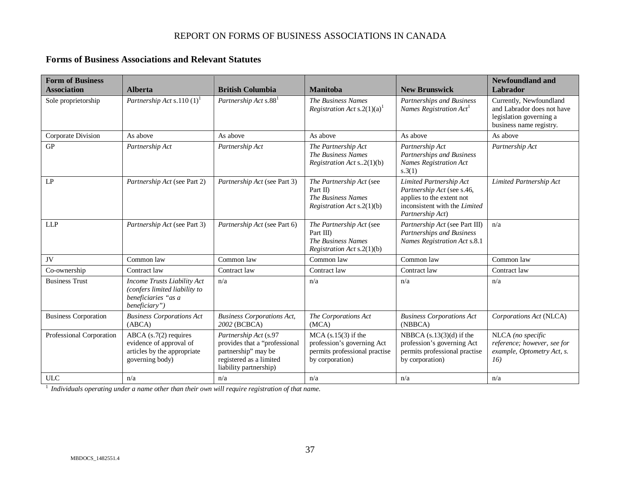### **Forms of Business Associations and Relevant Statutes**

| <b>Form of Business</b><br><b>Association</b> | <b>Alberta</b>                                                                                       | <b>British Columbia</b>                                                                                                            | Manitoba                                                                                                | <b>New Brunswick</b>                                                                                                                    | <b>Newfoundland and</b><br>Labrador                                                                         |
|-----------------------------------------------|------------------------------------------------------------------------------------------------------|------------------------------------------------------------------------------------------------------------------------------------|---------------------------------------------------------------------------------------------------------|-----------------------------------------------------------------------------------------------------------------------------------------|-------------------------------------------------------------------------------------------------------------|
| Sole proprietorship                           | Partnership Act s.110 $(1)^1$                                                                        | Partnership Act s.88 <sup>1</sup>                                                                                                  | The Business Names<br><i>Registration Act</i> s.2(1)(a) <sup>1</sup>                                    | Partnerships and Business<br>Names Registration Act <sup>1</sup>                                                                        | Currently, Newfoundland<br>and Labrador does not have<br>legislation governing a<br>business name registry. |
| Corporate Division                            | As above                                                                                             | As above                                                                                                                           | As above                                                                                                | As above                                                                                                                                | As above                                                                                                    |
| GP                                            | Partnership Act                                                                                      | Partnership Act                                                                                                                    | The Partnership Act<br>The Business Names<br>Registration Act s2(1)(b)                                  | Partnership Act<br>Partnerships and Business<br><b>Names Registration Act</b><br>s.3(1)                                                 | Partnership Act                                                                                             |
| LP                                            | Partnership Act (see Part 2)                                                                         | Partnership Act (see Part 3)                                                                                                       | The Partnership Act (see<br>Part II)<br>The Business Names<br><i>Registration Act s.</i> 2(1)(b)        | Limited Partnership Act<br>Partnership Act (see s.46,<br>applies to the extent not<br>inconsistent with the Limited<br>Partnership Act) | Limited Partnership Act                                                                                     |
| <b>LLP</b>                                    | Partnership Act (see Part 3)                                                                         | Partnership Act (see Part 6)                                                                                                       | The Partnership Act (see<br>Part III)<br>The Business Names<br><i>Registration Act s.</i> 2(1)(b)       | Partnership Act (see Part III)<br>Partnerships and Business<br>Names Registration Act s.8.1                                             | n/a                                                                                                         |
| JV                                            | Common law                                                                                           | Common law                                                                                                                         | Common law                                                                                              | Common law                                                                                                                              | Common law                                                                                                  |
| Co-ownership                                  | Contract law                                                                                         | Contract law                                                                                                                       | Contract law                                                                                            | Contract law                                                                                                                            | Contract law                                                                                                |
| <b>Business Trust</b>                         | Income Trusts Liability Act<br>(confers limited liability to<br>beneficiaries "as a<br>beneficiary") | n/a                                                                                                                                | n/a                                                                                                     | n/a                                                                                                                                     | n/a                                                                                                         |
| <b>Business Corporation</b>                   | <b>Business Corporations Act</b><br>(ABCA)                                                           | <b>Business Corporations Act,</b><br>2002 (BCBCA)                                                                                  | The Corporations Act<br>(MCA)                                                                           | <b>Business Corporations Act</b><br>(NBBCA)                                                                                             | Corporations Act (NLCA)                                                                                     |
| Professional Corporation                      | $ABCA$ (s.7(2) requires<br>evidence of approval of<br>articles by the appropriate<br>governing body) | Partnership Act (s.97<br>provides that a "professional<br>partnership" may be<br>registered as a limited<br>liability partnership) | $MCA$ (s.15(3) if the<br>profession's governing Act<br>permits professional practise<br>by corporation) | NBBCA $(s.13(3)(d)$ if the<br>profession's governing Act<br>permits professional practise<br>by corporation)                            | NLCA (no specific<br>reference; however, see for<br>example, Optometry Act, s.<br>16)                       |
| <b>ULC</b>                                    | n/a                                                                                                  | n/a                                                                                                                                | n/a                                                                                                     | n/a                                                                                                                                     | n/a                                                                                                         |

1 *Individuals operating under <sup>a</sup> name other than their own will require registration of that name*.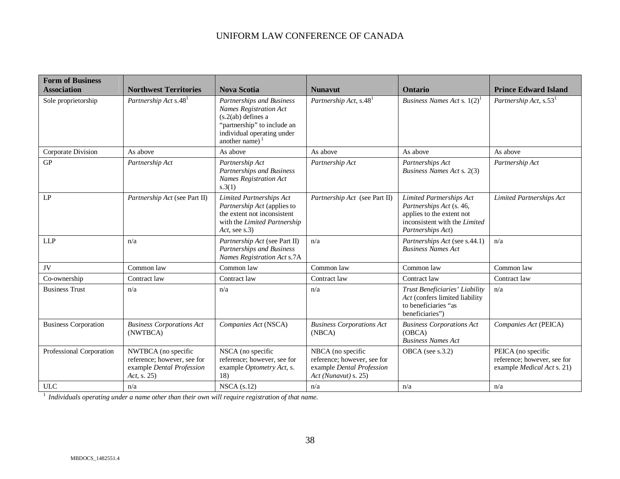| <b>Form of Business</b><br><b>Association</b> | <b>Northwest Territories</b>                                                                   | <b>Nova Scotia</b>                                                                                                                                                   | <b>Nunavut</b>                                                                                        | <b>Ontario</b>                                                                                                                                 | <b>Prince Edward Island</b>                                                     |
|-----------------------------------------------|------------------------------------------------------------------------------------------------|----------------------------------------------------------------------------------------------------------------------------------------------------------------------|-------------------------------------------------------------------------------------------------------|------------------------------------------------------------------------------------------------------------------------------------------------|---------------------------------------------------------------------------------|
| Sole proprietorship                           | Partnership Act s.48 <sup>1</sup>                                                              | Partnerships and Business<br><b>Names Registration Act</b><br>$(s.2(ab)$ defines a<br>"partnership" to include an<br>individual operating under<br>another name) $1$ | Partnership Act, s.48 <sup>1</sup>                                                                    | <i>Business Names Act s.</i> $1(2)^1$                                                                                                          | Partnership Act, s.53 <sup>1</sup>                                              |
| Corporate Division                            | As above                                                                                       | As above                                                                                                                                                             | As above                                                                                              | As above                                                                                                                                       | As above                                                                        |
| <b>GP</b>                                     | Partnership Act                                                                                | Partnership Act<br>Partnerships and Business<br><b>Names Registration Act</b><br>s.3(1)                                                                              | Partnership Act                                                                                       | Partnerships Act<br>Business Names Act s. 2(3)                                                                                                 | Partnership Act                                                                 |
| LP                                            | Partnership Act (see Part II)                                                                  | <b>Limited Partnerships Act</b><br>Partnership Act (applies to<br>the extent not inconsistent<br>with the Limited Partnership<br>Act, see s.3)                       | Partnership Act (see Part II)                                                                         | <b>Limited Partnerships Act</b><br>Partnerships Act (s. 46,<br>applies to the extent not<br>inconsistent with the Limited<br>Partnerships Act) | <b>Limited Partnerships Act</b>                                                 |
| <b>LLP</b>                                    | n/a                                                                                            | Partnership Act (see Part II)<br>Partnerships and Business<br>Names Registration Act s.7A                                                                            | n/a                                                                                                   | Partnerships Act (see s.44.1)<br><b>Business Names Act</b>                                                                                     | n/a                                                                             |
| JV                                            | Common law                                                                                     | Common law                                                                                                                                                           | Common law                                                                                            | Common law                                                                                                                                     | Common law                                                                      |
| Co-ownership                                  | Contract law                                                                                   | Contract law                                                                                                                                                         | Contract law                                                                                          | Contract law                                                                                                                                   | Contract law                                                                    |
| <b>Business Trust</b>                         | n/a                                                                                            | n/a                                                                                                                                                                  | n/a                                                                                                   | Trust Beneficiaries' Liability<br>Act (confers limited liability<br>to beneficiaries "as<br>beneficiaries")                                    | n/a                                                                             |
| <b>Business Corporation</b>                   | <b>Business Corporations Act</b><br>(NWTBCA)                                                   | Companies Act (NSCA)                                                                                                                                                 | <b>Business Corporations Act</b><br>(NBCA)                                                            | <b>Business Corporations Act</b><br>(OBCA)<br><b>Business Names Act</b>                                                                        | Companies Act (PEICA)                                                           |
| Professional Corporation                      | NWTBCA (no specific<br>reference; however, see for<br>example Dental Profession<br>Act. s. 25) | NSCA (no specific<br>reference; however, see for<br>example Optometry Act, s.<br>18)                                                                                 | NBCA (no specific<br>reference; however, see for<br>example Dental Profession<br>Act (Nunavut) s. 25) | OBCA (see s.3.2)                                                                                                                               | PEICA (no specific<br>reference; however, see for<br>example Medical Act s. 21) |
| <b>ULC</b>                                    | n/a                                                                                            | NSCA(s.12)                                                                                                                                                           | n/a                                                                                                   | n/a                                                                                                                                            | n/a                                                                             |

1 *Individuals operating under <sup>a</sup> name other than their own will require registration of that name*.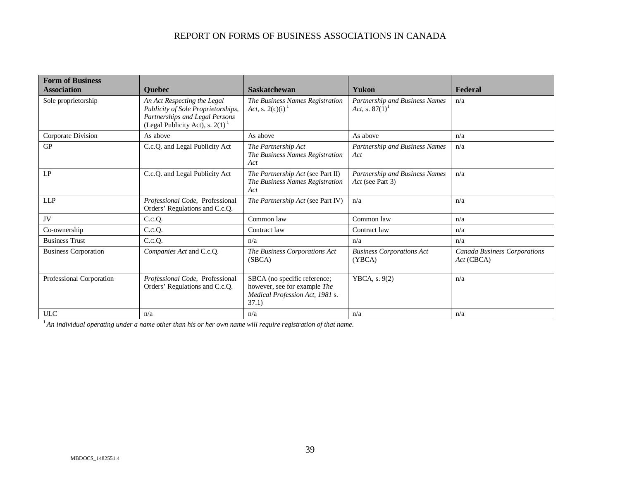| <b>Form of Business</b><br><b>Association</b> | <b>Quebec</b>                                                                                                                             | <b>Saskatchewan</b>                                                                                      | Yukon                                               | Federal                                    |
|-----------------------------------------------|-------------------------------------------------------------------------------------------------------------------------------------------|----------------------------------------------------------------------------------------------------------|-----------------------------------------------------|--------------------------------------------|
| Sole proprietorship                           | An Act Respecting the Legal<br>Publicity of Sole Proprietorships,<br>Partnerships and Legal Persons<br>(Legal Publicity Act), s. $2(1)^1$ | The Business Names Registration<br>Act, s. 2(c)(i)                                                       | Partnership and Business Names<br>Act, s. $87(1)^1$ | n/a                                        |
| Corporate Division                            | As above                                                                                                                                  | As above                                                                                                 | As above                                            | n/a                                        |
| <b>GP</b>                                     | C.c.Q. and Legal Publicity Act                                                                                                            | The Partnership Act<br>The Business Names Registration<br>Act                                            | Partnership and Business Names<br>Act               | n/a                                        |
| LP                                            | C.c.Q. and Legal Publicity Act                                                                                                            | The Partnership Act (see Part II)<br>The Business Names Registration<br>Act                              | Partnership and Business Names<br>Act (see Part 3)  | n/a                                        |
| <b>LLP</b>                                    | Professional Code, Professional<br>Orders' Regulations and C.c.Q.                                                                         | The Partnership Act (see Part IV)                                                                        | n/a                                                 | n/a                                        |
| JV                                            | C.c.Q.                                                                                                                                    | Common law                                                                                               | Common law                                          | n/a                                        |
| Co-ownership                                  | C.c.Q.                                                                                                                                    | Contract law                                                                                             | Contract law                                        | n/a                                        |
| <b>Business Trust</b>                         | C.c.Q.                                                                                                                                    | n/a                                                                                                      | n/a                                                 | n/a                                        |
| <b>Business Corporation</b>                   | Companies Act and C.c.Q.                                                                                                                  | The Business Corporations Act<br>(SBCA)                                                                  | <b>Business Corporations Act</b><br>(YBCA)          | Canada Business Corporations<br>Act (CBCA) |
| Professional Corporation                      | Professional Code, Professional<br>Orders' Regulations and C.c.Q.                                                                         | SBCA (no specific reference;<br>however, see for example The<br>Medical Profession Act, 1981 s.<br>37.1) | YBCA, s. 9(2)                                       | n/a                                        |
| <b>ULC</b>                                    | n/a                                                                                                                                       | n/a                                                                                                      | n/a                                                 | n/a                                        |

 $^{1}$ An individual operating under a name other than his or her own name will require registration of that name.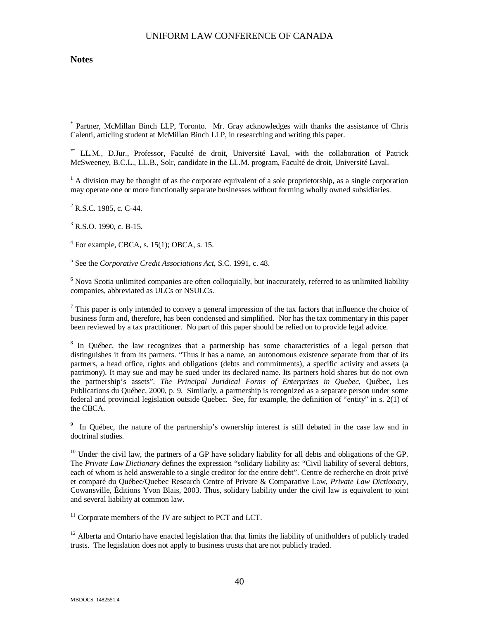#### **Notes**

\* Partner, McMillan Binch LLP, Toronto. Mr. Gray acknowledges with thanks the assistance of Chris Calenti, articling student at McMillan Binch LLP, in researching and writing this paper.

\*\* LL.M., D.Jur., Professor, Faculté de droit, Université Laval, with the collaboration of Patrick McSweeney, B.C.L., LL.B., Solr, candidate in the LL.M. program, Faculté de droit, Université Laval.

 $<sup>1</sup>$  A division may be thought of as the corporate equivalent of a sole proprietorship, as a single corporation</sup> may operate one or more functionally separate businesses without forming wholly owned subsidiaries.

 $^{2}$  R.S.C. 1985, c. C-44.

 $3$  R.S.O. 1990, c. B-15.

 $4$  For example, CBCA, s. 15(1); OBCA, s. 15.

5 See the *Corporative Credit Associations Act*, S.C. 1991, c. 48.

<sup>6</sup> Nova Scotia unlimited companies are often colloquially, but inaccurately, referred to as unlimited liability companies, abbreviated as ULCs or NSULCs.

<sup>7</sup> This paper is only intended to convey a general impression of the tax factors that influence the choice of business form and, therefore, has been condensed and simplified. Nor has the tax commentary in this paper been reviewed by a tax practitioner. No part of this paper should be relied on to provide legal advice.

<sup>8</sup> In Québec, the law recognizes that a partnership has some characteristics of a legal person that distinguishes it from its partners. "Thus it has a name, an autonomous existence separate from that of its partners, a head office, rights and obligations (debts and commitments), a specific activity and assets (a patrimony). It may sue and may be sued under its declared name. Its partners hold shares but do not own the partnership's assets". *The Principal Juridical Forms of Enterprises in Quebec*, Québec, Les Publications du Québec, 2000, p. 9. Similarly, a partnership is recognized as a separate person under some federal and provincial legislation outside Quebec. See, for example, the definition of "entity" in s. 2(1) of the CBCA.

<sup>9</sup> In Québec, the nature of the partnership's ownership interest is still debated in the case law and in doctrinal studies.

 $10$  Under the civil law, the partners of a GP have solidary liability for all debts and obligations of the GP. The *Private Law Dictionary* defines the expression "solidary liability as: "Civil liability of several debtors, each of whom is held answerable to a single creditor for the entire debt". Centre de recherche en droit privé et comparé du Québec/Quebec Research Centre of Private & Comparative Law, *Private Law Dictionary*, Cowansville, Éditions Yvon Blais, 2003. Thus, solidary liability under the civil law is equivalent to joint and several liability at common law.

 $11$  Corporate members of the JV are subject to PCT and LCT.

 $12$  Alberta and Ontario have enacted legislation that that limits the liability of unitholders of publicly traded trusts. The legislation does not apply to business trusts that are not publicly traded.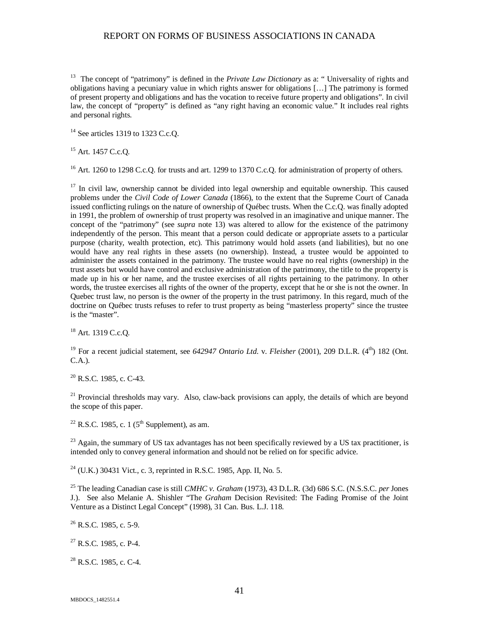<sup>13</sup> The concept of "patrimony" is defined in the *Private Law Dictionary* as a: " Universality of rights and obligations having a pecuniary value in which rights answer for obligations […] The patrimony is formed of present property and obligations and has the vocation to receive future property and obligations". In civil law, the concept of "property" is defined as "any right having an economic value." It includes real rights and personal rights.

 $14$  See articles 1319 to 1323 C.c.Q.

<sup>15</sup> Art. 1457 C.c.Q.

<sup>16</sup> Art. 1260 to 1298 C.c.Q. for trusts and art. 1299 to 1370 C.c.Q. for administration of property of others.

<sup>17</sup> In civil law, ownership cannot be divided into legal ownership and equitable ownership. This caused problems under the *Civil Code of Lower Canada* (1866), to the extent that the Supreme Court of Canada issued conflicting rulings on the nature of ownership of Québec trusts. When the C.c.Q. was finally adopted in 1991, the problem of ownership of trust property was resolved in an imaginative and unique manner. The concept of the "patrimony" (see *supra* note 13) was altered to allow for the existence of the patrimony independently of the person. This meant that a person could dedicate or appropriate assets to a particular purpose (charity, wealth protection, etc). This patrimony would hold assets (and liabilities), but no one would have any real rights in these assets (no ownership). Instead, a trustee would be appointed to administer the assets contained in the patrimony. The trustee would have no real rights (ownership) in the trust assets but would have control and exclusive administration of the patrimony, the title to the property is made up in his or her name, and the trustee exercises of all rights pertaining to the patrimony. In other words, the trustee exercises all rights of the owner of the property, except that he or she is not the owner. In Quebec trust law, no person is the owner of the property in the trust patrimony. In this regard, much of the doctrine on Québec trusts refuses to refer to trust property as being "masterless property" since the trustee is the "master".

<sup>18</sup> Art. 1319 C.c.Q.

<sup>19</sup> For a recent judicial statement, see 642947 *Ontario Ltd.* v. *Fleisher* (2001), 209 D.L.R. (4<sup>th</sup>) 182 (Ont. C.A.).

<sup>20</sup> R.S.C. 1985, c. C-43.

<sup>21</sup> Provincial thresholds may vary. Also, claw-back provisions can apply, the details of which are beyond the scope of this paper.

<sup>22</sup> R.S.C. 1985, c. 1 (5<sup>th</sup> Supplement), as am.

<sup>23</sup> Again, the summary of US tax advantages has not been specifically reviewed by a US tax practitioner, is intended only to convey general information and should not be relied on for specific advice.

 $^{24}$  (U.K.) 30431 Vict., c. 3, reprinted in R.S.C. 1985, App. II, No. 5.

<sup>25</sup> The leading Canadian case is still *CMHC v. Graham* (1973), 43 D.L.R. (3d) 686 S.C. (N.S.S.C. *per* Jones J.). See also Melanie A. Shishler "The *Graham* Decision Revisited: The Fading Promise of the Joint Venture as a Distinct Legal Concept" (1998), 31 Can. Bus. L.J. 118.

 $^{26}$  R.S.C. 1985, c. 5-9.

 $27$  R.S.C. 1985, c. P-4.

 $28$  R.S.C. 1985, c. C-4.